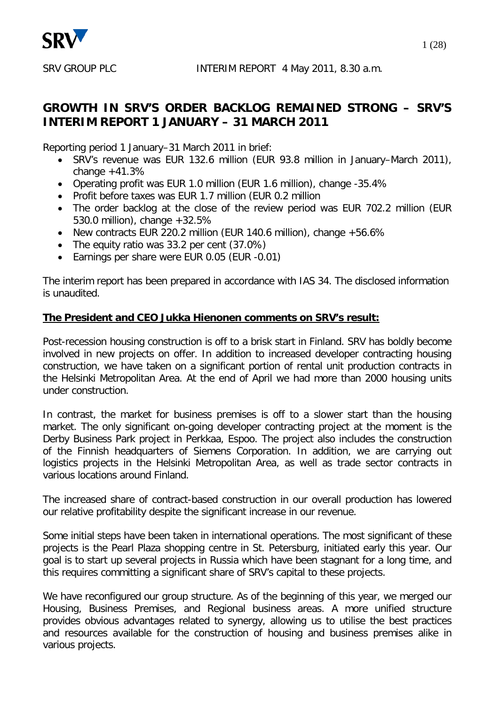

## **GROWTH IN SRV'S ORDER BACKLOG REMAINED STRONG – SRV'S INTERIM REPORT 1 JANUARY – 31 MARCH 2011**

Reporting period 1 January–31 March 2011 in brief:

- SRV's revenue was EUR 132.6 million (EUR 93.8 million in January–March 2011), change  $+41.3%$
- Operating profit was EUR 1.0 million (EUR 1.6 million), change -35.4%
- Profit before taxes was EUR 1.7 million (EUR 0.2 million
- The order backlog at the close of the review period was EUR 702.2 million (EUR 530.0 million), change +32.5%
- New contracts EUR 220.2 million (EUR 140.6 million), change +56.6%
- The equity ratio was 33.2 per cent (37.0%)
- Earnings per share were EUR 0.05 (EUR -0.01)

The interim report has been prepared in accordance with IAS 34. The disclosed information is unaudited.

## **The President and CEO Jukka Hienonen comments on SRV's result:**

Post-recession housing construction is off to a brisk start in Finland. SRV has boldly become involved in new projects on offer. In addition to increased developer contracting housing construction, we have taken on a significant portion of rental unit production contracts in the Helsinki Metropolitan Area. At the end of April we had more than 2000 housing units under construction.

In contrast, the market for business premises is off to a slower start than the housing market. The only significant on-going developer contracting project at the moment is the Derby Business Park project in Perkkaa, Espoo. The project also includes the construction of the Finnish headquarters of Siemens Corporation. In addition, we are carrying out logistics projects in the Helsinki Metropolitan Area, as well as trade sector contracts in various locations around Finland.

The increased share of contract-based construction in our overall production has lowered our relative profitability despite the significant increase in our revenue.

Some initial steps have been taken in international operations. The most significant of these projects is the Pearl Plaza shopping centre in St. Petersburg, initiated early this year. Our goal is to start up several projects in Russia which have been stagnant for a long time, and this requires committing a significant share of SRV's capital to these projects.

We have reconfigured our group structure. As of the beginning of this year, we merged our Housing, Business Premises, and Regional business areas. A more unified structure provides obvious advantages related to synergy, allowing us to utilise the best practices and resources available for the construction of housing and business premises alike in various projects.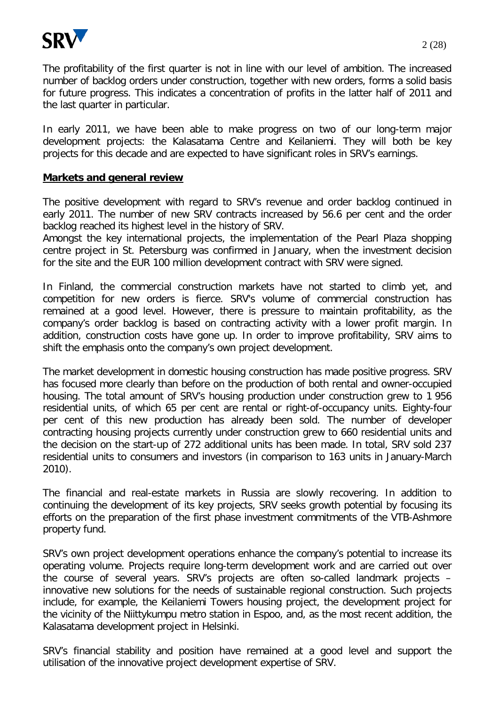

The profitability of the first quarter is not in line with our level of ambition. The increased number of backlog orders under construction, together with new orders, forms a solid basis for future progress. This indicates a concentration of profits in the latter half of 2011 and the last quarter in particular.

In early 2011, we have been able to make progress on two of our long-term major development projects: the Kalasatama Centre and Keilaniemi. They will both be key projects for this decade and are expected to have significant roles in SRV's earnings.

#### **Markets and general review**

The positive development with regard to SRV's revenue and order backlog continued in early 2011. The number of new SRV contracts increased by 56.6 per cent and the order backlog reached its highest level in the history of SRV.

Amongst the key international projects, the implementation of the Pearl Plaza shopping centre project in St. Petersburg was confirmed in January, when the investment decision for the site and the EUR 100 million development contract with SRV were signed.

In Finland, the commercial construction markets have not started to climb yet, and competition for new orders is fierce. SRV's volume of commercial construction has remained at a good level. However, there is pressure to maintain profitability, as the company's order backlog is based on contracting activity with a lower profit margin. In addition, construction costs have gone up. In order to improve profitability, SRV aims to shift the emphasis onto the company's own project development.

The market development in domestic housing construction has made positive progress. SRV has focused more clearly than before on the production of both rental and owner-occupied housing. The total amount of SRV's housing production under construction grew to 1 956 residential units, of which 65 per cent are rental or right-of-occupancy units. Eighty-four per cent of this new production has already been sold. The number of developer contracting housing projects currently under construction grew to 660 residential units and the decision on the start-up of 272 additional units has been made. In total, SRV sold 237 residential units to consumers and investors (in comparison to 163 units in January-March 2010).

The financial and real-estate markets in Russia are slowly recovering. In addition to continuing the development of its key projects, SRV seeks growth potential by focusing its efforts on the preparation of the first phase investment commitments of the VTB-Ashmore property fund.

SRV's own project development operations enhance the company's potential to increase its operating volume. Projects require long-term development work and are carried out over the course of several years. SRV's projects are often so-called landmark projects – innovative new solutions for the needs of sustainable regional construction. Such projects include, for example, the Keilaniemi Towers housing project, the development project for the vicinity of the Niittykumpu metro station in Espoo, and, as the most recent addition, the Kalasatama development project in Helsinki.

SRV's financial stability and position have remained at a good level and support the utilisation of the innovative project development expertise of SRV.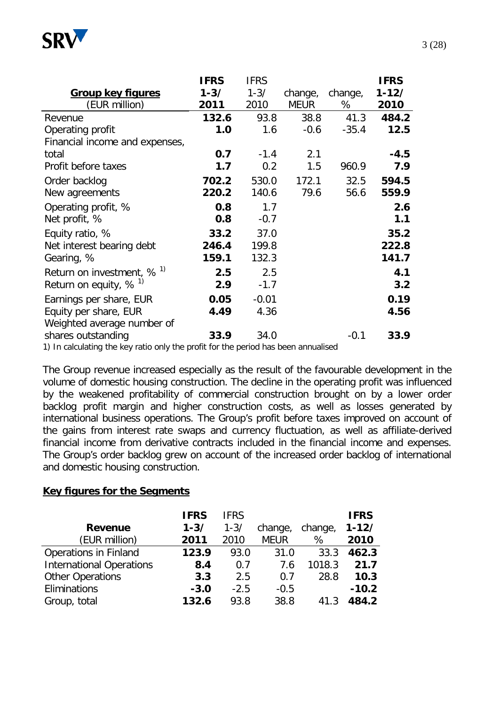

|                                                                                                        | <b>IFRS</b> | <b>IFRS</b> |             |         | <b>IFRS</b> |
|--------------------------------------------------------------------------------------------------------|-------------|-------------|-------------|---------|-------------|
| <b>Group key figures</b>                                                                               | $1 - 3/$    | $1 - 3/$    | change,     | change, | $1 - 12/$   |
| (EUR million)                                                                                          | 2011        | 2010        | <b>MEUR</b> | %       | 2010        |
| Revenue                                                                                                | 132.6       | 93.8        | 38.8        | 41.3    | 484.2       |
| Operating profit                                                                                       | 1.0         | 1.6         | $-0.6$      | $-35.4$ | 12.5        |
| Financial income and expenses,                                                                         |             |             |             |         |             |
| total                                                                                                  | 0.7         | $-1.4$      | 2.1         |         | $-4.5$      |
| Profit before taxes                                                                                    | 1.7         | 0.2         | 1.5         | 960.9   | 7.9         |
| Order backlog                                                                                          | 702.2       | 530.0       | 172.1       | 32.5    | 594.5       |
| New agreements                                                                                         | 220.2       | 140.6       | 79.6        | 56.6    | 559.9       |
| Operating profit, %                                                                                    | 0.8         | 1.7         |             |         | 2.6         |
| Net profit, %                                                                                          | 0.8         | $-0.7$      |             |         | 1.1         |
| Equity ratio, %                                                                                        | 33.2        | 37.0        |             |         | 35.2        |
| Net interest bearing debt                                                                              | 246.4       | 199.8       |             |         | 222.8       |
| Gearing, %                                                                                             | 159.1       | 132.3       |             |         | 141.7       |
| Return on investment, $\%$ <sup>1)</sup>                                                               | 2.5         | 2.5         |             |         | 4.1         |
| Return on equity, $% ^{1}$                                                                             | 2.9         | $-1.7$      |             |         | 3.2         |
| Earnings per share, EUR                                                                                | 0.05        | $-0.01$     |             |         | 0.19        |
| Equity per share, EUR                                                                                  | 4.49        | 4.36        |             |         | 4.56        |
| Weighted average number of                                                                             |             |             |             |         |             |
| shares outstanding<br>1) In polaitable the liquinate only the neeft for the nexted has been annualized | 33.9        | 34.0        |             | $-0.1$  | 33.9        |

1) In calculating the key ratio only the profit for the period has been annualised

The Group revenue increased especially as the result of the favourable development in the volume of domestic housing construction. The decline in the operating profit was influenced by the weakened profitability of commercial construction brought on by a lower order backlog profit margin and higher construction costs, as well as losses generated by international business operations. The Group's profit before taxes improved on account of the gains from interest rate swaps and currency fluctuation, as well as affiliate-derived financial income from derivative contracts included in the financial income and expenses. The Group's order backlog grew on account of the increased order backlog of international and domestic housing construction.

#### **Key figures for the Segments**

|                                 | <b>IFRS</b> | <b>IFRS</b> |             |         | <b>IFRS</b> |
|---------------------------------|-------------|-------------|-------------|---------|-------------|
| <b>Revenue</b>                  | $1 - 3/$    | $1 - 3/$    | change,     | change, | $1 - 12/$   |
| (EUR million)                   | 2011        | 2010        | <b>MEUR</b> | %       | 2010        |
| <b>Operations in Finland</b>    | 123.9       | 93.0        | 31.0        | 33.3    | 462.3       |
| <b>International Operations</b> | 8.4         | 0.7         | 7.6         | 1018.3  | 21.7        |
| <b>Other Operations</b>         | 3.3         | 2.5         | 0.7         | 28.8    | 10.3        |
| Eliminations                    | $-3.0$      | $-2.5$      | $-0.5$      |         | $-10.2$     |
| Group, total                    | 132.6       | 93.8        | 38.8        | 41.3    | 484.2       |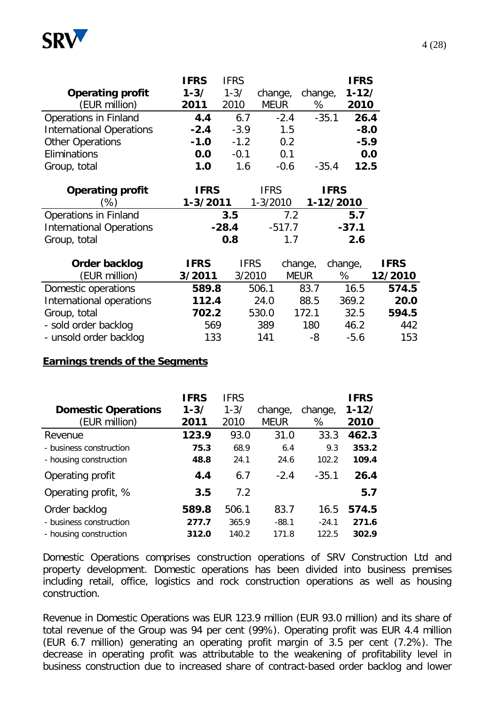

|                                 | <b>IFRS</b> | <b>IFRS</b> |             |         | <b>IFRS</b> |
|---------------------------------|-------------|-------------|-------------|---------|-------------|
| <b>Operating profit</b>         | $1 - 3/$    | $1 - 3/$    | change,     | change, | $1 - 12/$   |
| (EUR million)                   | 2011        | 2010        | <b>MEUR</b> | %       | 2010        |
| Operations in Finland           | 4.4         | 6.7         | $-2.4$      | $-35.1$ | 26.4        |
| <b>International Operations</b> | $-2.4$      | $-3.9$      | 1.5         |         | $-8.0$      |
| <b>Other Operations</b>         | $-1.0$      | $-1.2$      | 0.2         |         | $-5.9$      |
| Eliminations                    | 0.0         | $-0.1$      | 0.1         |         | 0.0         |
| Group, total                    | 1.0         | 1.6         | $-0.6$      | $-35.4$ | 12.5        |

| <b>Operating profit</b>         | <b>IFRS</b>  | <b>IFRS</b>  | <b>IFRS</b> |
|---------------------------------|--------------|--------------|-------------|
| $\%$ )                          | $1 - 3/2011$ | $1 - 3/2010$ | 1-12/2010   |
| Operations in Finland           | 3.5          | 72           | 5.7         |
| <b>International Operations</b> | $-28.4$      | $-517.7$     | $-37.1$     |
| Group, total                    | 0.8          | 17           | 2.6         |

| Order backlog            | <b>IFRS</b> | <b>IFRS</b> | change,     | change, | <b>IFRS</b> |
|--------------------------|-------------|-------------|-------------|---------|-------------|
| (EUR million)            | 3/2011      | 3/2010      | <b>MEUR</b> | %       | 12/2010     |
| Domestic operations      | 589.8       | 506.1       | 83.7        | 16.5    | 574.5       |
| International operations | 112.4       | 24.0        | 88.5        | 369.2   | 20.0        |
| Group, total             | 702.2       | 530.0       | 172.1       | 32.5    | 594.5       |
| - sold order backlog     | 569         | 389         | 180         | 46.2    | 442         |
| - unsold order backlog   | 133         | 141         | -8          | $-5.6$  | 153         |

#### **Earnings trends of the Segments**

|                            | <b>IFRS</b> | <b>IFRS</b> |             |         | <b>IFRS</b> |
|----------------------------|-------------|-------------|-------------|---------|-------------|
| <b>Domestic Operations</b> | $1 - 3/$    | $1 - 3/$    | change,     | change, | $1 - 12/$   |
| (EUR million)              | 2011        | 2010        | <b>MEUR</b> | %       | 2010        |
| Revenue                    | 123.9       | 93.0        | 31.0        | 33.3    | 462.3       |
| - business construction    | 75.3        | 68.9        | 6.4         | 9.3     | 353.2       |
| - housing construction     | 48.8        | 24.1        | 24.6        | 102.2   | 109.4       |
| Operating profit           | 4.4         | 6.7         | $-2.4$      | $-35.1$ | 26.4        |
| Operating profit, %        | 3.5         | 7.2         |             |         | 5.7         |
| Order backlog              | 589.8       | 506.1       | 83.7        | 16.5    | 574.5       |
| - business construction    | 277.7       | 365.9       | $-88.1$     | $-24.1$ | 271.6       |
| - housing construction     | 312.0       | 140.2       | 171.8       | 122.5   | 302.9       |

Domestic Operations comprises construction operations of SRV Construction Ltd and property development. Domestic operations has been divided into business premises including retail, office, logistics and rock construction operations as well as housing construction.

Revenue in Domestic Operations was EUR 123.9 million (EUR 93.0 million) and its share of total revenue of the Group was 94 per cent (99%). Operating profit was EUR 4.4 million (EUR 6.7 million) generating an operating profit margin of 3.5 per cent (7.2%). The decrease in operating profit was attributable to the weakening of profitability level in business construction due to increased share of contract-based order backlog and lower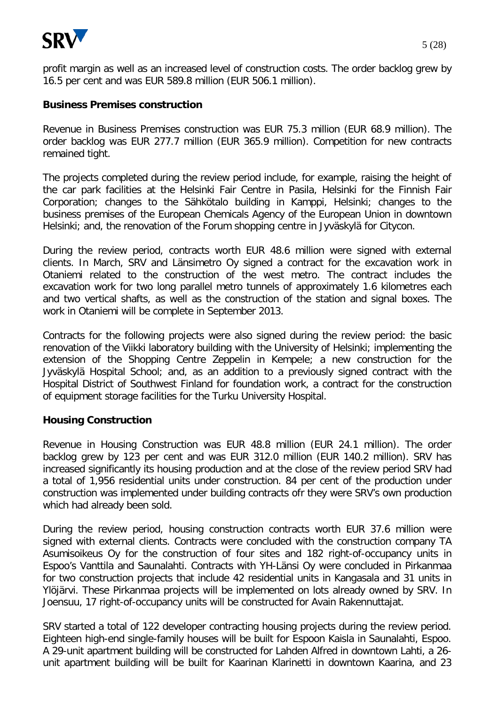

profit margin as well as an increased level of construction costs. The order backlog grew by 16.5 per cent and was EUR 589.8 million (EUR 506.1 million).

#### **Business Premises construction**

Revenue in Business Premises construction was EUR 75.3 million (EUR 68.9 million). The order backlog was EUR 277.7 million (EUR 365.9 million). Competition for new contracts remained tight.

The projects completed during the review period include, for example, raising the height of the car park facilities at the Helsinki Fair Centre in Pasila, Helsinki for the Finnish Fair Corporation; changes to the Sähkötalo building in Kamppi, Helsinki; changes to the business premises of the European Chemicals Agency of the European Union in downtown Helsinki; and, the renovation of the Forum shopping centre in Jyväskylä for Citycon.

During the review period, contracts worth EUR 48.6 million were signed with external clients. In March, SRV and Länsimetro Oy signed a contract for the excavation work in Otaniemi related to the construction of the west metro. The contract includes the excavation work for two long parallel metro tunnels of approximately 1.6 kilometres each and two vertical shafts, as well as the construction of the station and signal boxes. The work in Otaniemi will be complete in September 2013.

Contracts for the following projects were also signed during the review period: the basic renovation of the Viikki laboratory building with the University of Helsinki; implementing the extension of the Shopping Centre Zeppelin in Kempele; a new construction for the Jyväskylä Hospital School; and, as an addition to a previously signed contract with the Hospital District of Southwest Finland for foundation work, a contract for the construction of equipment storage facilities for the Turku University Hospital.

#### **Housing Construction**

Revenue in Housing Construction was EUR 48.8 million (EUR 24.1 million). The order backlog grew by 123 per cent and was EUR 312.0 million (EUR 140.2 million). SRV has increased significantly its housing production and at the close of the review period SRV had a total of 1,956 residential units under construction. 84 per cent of the production under construction was implemented under building contracts ofr they were SRV's own production which had already been sold.

During the review period, housing construction contracts worth EUR 37.6 million were signed with external clients. Contracts were concluded with the construction company TA Asumisoikeus Oy for the construction of four sites and 182 right-of-occupancy units in Espoo's Vanttila and Saunalahti. Contracts with YH-Länsi Oy were concluded in Pirkanmaa for two construction projects that include 42 residential units in Kangasala and 31 units in Ylöjärvi. These Pirkanmaa projects will be implemented on lots already owned by SRV. In Joensuu, 17 right-of-occupancy units will be constructed for Avain Rakennuttajat.

SRV started a total of 122 developer contracting housing projects during the review period. Eighteen high-end single-family houses will be built for Espoon Kaisla in Saunalahti, Espoo. A 29-unit apartment building will be constructed for Lahden Alfred in downtown Lahti, a 26 unit apartment building will be built for Kaarinan Klarinetti in downtown Kaarina, and 23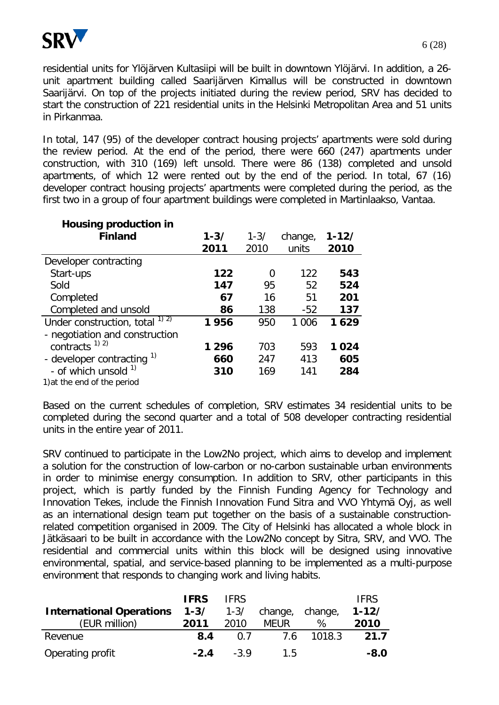

residential units for Ylöjärven Kultasiipi will be built in downtown Ylöjärvi. In addition, a 26 unit apartment building called Saarijärven Kimallus will be constructed in downtown Saarijärvi. On top of the projects initiated during the review period, SRV has decided to start the construction of 221 residential units in the Helsinki Metropolitan Area and 51 units in Pirkanmaa.

In total, 147 (95) of the developer contract housing projects' apartments were sold during the review period. At the end of the period, there were 660 (247) apartments under construction, with 310 (169) left unsold. There were 86 (138) completed and unsold apartments, of which 12 were rented out by the end of the period. In total, 67 (16) developer contract housing projects' apartments were completed during the period, as the first two in a group of four apartment buildings were completed in Martinlaakso, Vantaa.

| <b>Housing production in</b>       |          |          |         |           |
|------------------------------------|----------|----------|---------|-----------|
| <b>Finland</b>                     | $1 - 3/$ | $1 - 3/$ | change, | $1 - 12/$ |
|                                    | 2011     | 2010     | units   | 2010      |
| Developer contracting              |          |          |         |           |
| Start-ups                          | 122      | 0        | 122     | 543       |
| Sold                               | 147      | 95       | 52      | 524       |
| Completed                          | 67       | 16       | 51      | 201       |
| Completed and unsold               | 86       | 138      | $-52$   | 137       |
| Under construction, total $^{1/2}$ | 1956     | 950      | 1 0 0 6 | 1629      |
| - negotiation and construction     |          |          |         |           |
| contracts $^{1}$ 2)                | 1296     | 703      | 593     | 1024      |
| - developer contracting 1)         | 660      | 247      | 413     | 605       |
| - of which unsold<br>1)            | 310      | 169      | 141     | 284       |
| 1) at the end of the period        |          |          |         |           |

Based on the current schedules of completion, SRV estimates 34 residential units to be completed during the second quarter and a total of 508 developer contracting residential units in the entire year of 2011.

SRV continued to participate in the Low2No project, which aims to develop and implement a solution for the construction of low-carbon or no-carbon sustainable urban environments in order to minimise energy consumption. In addition to SRV, other participants in this project, which is partly funded by the Finnish Funding Agency for Technology and Innovation Tekes, include the Finnish Innovation Fund Sitra and VVO Yhtymä Oyj, as well as an international design team put together on the basis of a sustainable constructionrelated competition organised in 2009. The City of Helsinki has allocated a whole block in Jätkäsaari to be built in accordance with the Low2No concept by Sitra, SRV, and VVO. The residential and commercial units within this block will be designed using innovative environmental, spatial, and service-based planning to be implemented as a multi-purpose environment that responds to changing work and living habits.

| <b>International Operations</b><br>(EUR million) | <b>IFRS</b><br>$1 - 3/$<br>2011 | <b>IFRS</b><br>2010 | 1-3/ change, change,<br><b>MEUR</b> | %          | <b>IFRS</b><br>$1 - 12/$<br>2010 |
|--------------------------------------------------|---------------------------------|---------------------|-------------------------------------|------------|----------------------------------|
| Revenue                                          | 8.4                             | 0 7                 |                                     | 7.6 1018.3 | 21.7                             |
| Operating profit                                 | $-2.4$                          | $-3.9$              | 15                                  |            | $-8.0$                           |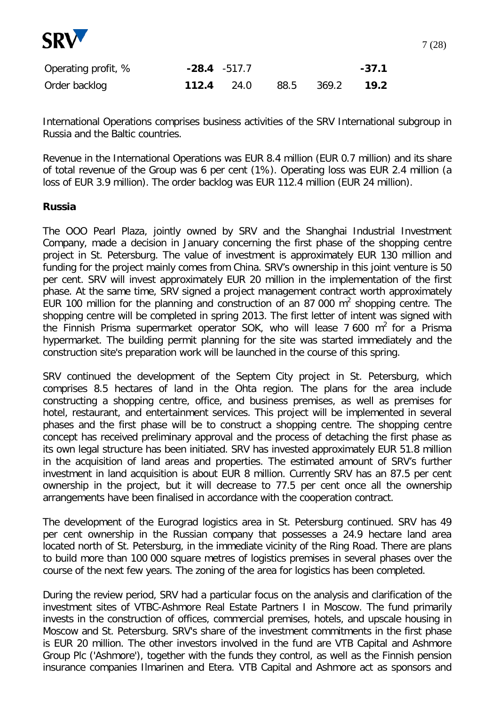

| Operating profit, % | $-28.4 - 517.7$   |  |                        | $-37.1$ |
|---------------------|-------------------|--|------------------------|---------|
| Order backlog       | <b>112.4</b> 24.0 |  | 88.5 369.2 <b>19.2</b> |         |

International Operations comprises business activities of the SRV International subgroup in Russia and the Baltic countries.

Revenue in the International Operations was EUR 8.4 million (EUR 0.7 million) and its share of total revenue of the Group was 6 per cent (1%). Operating loss was EUR 2.4 million (a loss of EUR 3.9 million). The order backlog was EUR 112.4 million (EUR 24 million).

#### **Russia**

The OOO Pearl Plaza, jointly owned by SRV and the Shanghai Industrial Investment Company, made a decision in January concerning the first phase of the shopping centre project in St. Petersburg. The value of investment is approximately EUR 130 million and funding for the project mainly comes from China. SRV's ownership in this joint venture is 50 per cent. SRV will invest approximately EUR 20 million in the implementation of the first phase. At the same time, SRV signed a project management contract worth approximately EUR 100 million for the planning and construction of an 87 000  $m^2$  shopping centre. The shopping centre will be completed in spring 2013. The first letter of intent was signed with the Finnish Prisma supermarket operator SOK, who will lease 7 600  $m^2$  for a Prisma hypermarket. The building permit planning for the site was started immediately and the construction site's preparation work will be launched in the course of this spring.

SRV continued the development of the Septem City project in St. Petersburg, which comprises 8.5 hectares of land in the Ohta region. The plans for the area include constructing a shopping centre, office, and business premises, as well as premises for hotel, restaurant, and entertainment services. This project will be implemented in several phases and the first phase will be to construct a shopping centre. The shopping centre concept has received preliminary approval and the process of detaching the first phase as its own legal structure has been initiated. SRV has invested approximately EUR 51.8 million in the acquisition of land areas and properties. The estimated amount of SRV's further investment in land acquisition is about EUR 8 million. Currently SRV has an 87.5 per cent ownership in the project, but it will decrease to 77.5 per cent once all the ownership arrangements have been finalised in accordance with the cooperation contract.

The development of the Eurograd logistics area in St. Petersburg continued. SRV has 49 per cent ownership in the Russian company that possesses a 24.9 hectare land area located north of St. Petersburg, in the immediate vicinity of the Ring Road. There are plans to build more than 100 000 square metres of logistics premises in several phases over the course of the next few years. The zoning of the area for logistics has been completed.

During the review period, SRV had a particular focus on the analysis and clarification of the investment sites of VTBC-Ashmore Real Estate Partners I in Moscow. The fund primarily invests in the construction of offices, commercial premises, hotels, and upscale housing in Moscow and St. Petersburg. SRV's share of the investment commitments in the first phase is EUR 20 million. The other investors involved in the fund are VTB Capital and Ashmore Group Plc ('Ashmore'), together with the funds they control, as well as the Finnish pension insurance companies Ilmarinen and Etera. VTB Capital and Ashmore act as sponsors and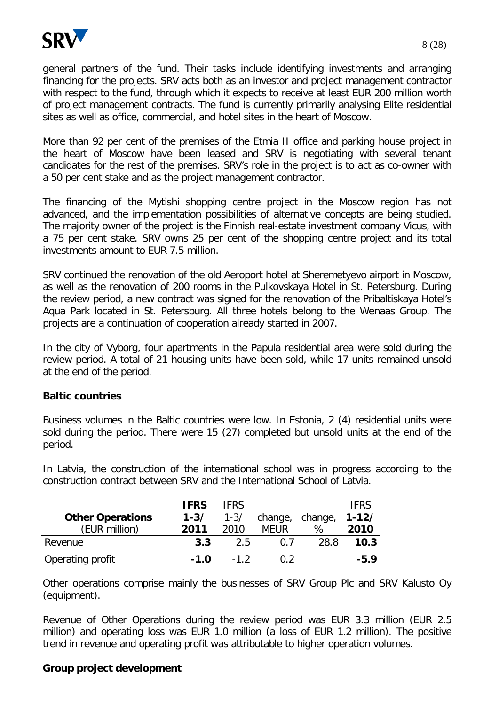

general partners of the fund. Their tasks include identifying investments and arranging financing for the projects. SRV acts both as an investor and project management contractor with respect to the fund, through which it expects to receive at least EUR 200 million worth of project management contracts. The fund is currently primarily analysing Elite residential sites as well as office, commercial, and hotel sites in the heart of Moscow.

More than 92 per cent of the premises of the Etmia II office and parking house project in the heart of Moscow have been leased and SRV is negotiating with several tenant candidates for the rest of the premises. SRV's role in the project is to act as co-owner with a 50 per cent stake and as the project management contractor.

The financing of the Mytishi shopping centre project in the Moscow region has not advanced, and the implementation possibilities of alternative concepts are being studied. The majority owner of the project is the Finnish real-estate investment company Vicus, with a 75 per cent stake. SRV owns 25 per cent of the shopping centre project and its total investments amount to EUR 7.5 million.

SRV continued the renovation of the old Aeroport hotel at Sheremetyevo airport in Moscow, as well as the renovation of 200 rooms in the Pulkovskaya Hotel in St. Petersburg. During the review period, a new contract was signed for the renovation of the Pribaltiskaya Hotel's Aqua Park located in St. Petersburg. All three hotels belong to the Wenaas Group. The projects are a continuation of cooperation already started in 2007.

In the city of Vyborg, four apartments in the Papula residential area were sold during the review period. A total of 21 housing units have been sold, while 17 units remained unsold at the end of the period.

#### **Baltic countries**

Business volumes in the Baltic countries were low. In Estonia, 2 (4) residential units were sold during the period. There were 15 (27) completed but unsold units at the end of the period.

In Latvia, the construction of the international school was in progress according to the construction contract between SRV and the International School of Latvia.

|                         | <b>IFRS</b> | <b>IFRS</b> |                 |      | <b>IFRS</b> |
|-------------------------|-------------|-------------|-----------------|------|-------------|
| <b>Other Operations</b> | $1 - 3/$    | $1 - 3/$    | change, change, |      | $1 - 12/$   |
| (EUR million)           | 2011        | 2010        | <b>MEUR</b>     | %    | 2010        |
| Revenue                 | 3.3         | -2.5        | 0 7             | 28.8 | 10.3        |
| Operating profit        | $-1.0$      | $-12$       | 0. Z            |      | $-5.9$      |

Other operations comprise mainly the businesses of SRV Group Plc and SRV Kalusto Oy (equipment).

Revenue of Other Operations during the review period was EUR 3.3 million (EUR 2.5 million) and operating loss was EUR 1.0 million (a loss of EUR 1.2 million). The positive trend in revenue and operating profit was attributable to higher operation volumes.

### **Group project development**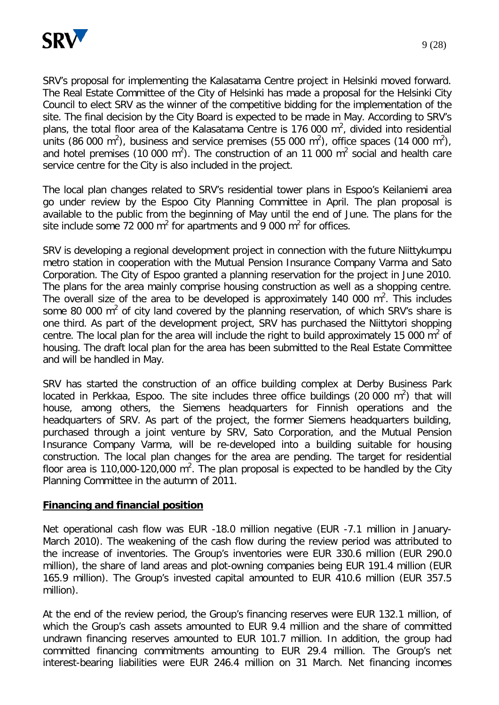

9 (28)

SRV's proposal for implementing the Kalasatama Centre project in Helsinki moved forward. The Real Estate Committee of the City of Helsinki has made a proposal for the Helsinki City Council to elect SRV as the winner of the competitive bidding for the implementation of the site. The final decision by the City Board is expected to be made in May. According to SRV's plans, the total floor area of the Kalasatama Centre is 176 000  $m^2$ , divided into residential units (86 000 m<sup>2</sup>), business and service premises (55 000 m<sup>2</sup>), office spaces (14 000 m<sup>2</sup>), and hotel premises (10 000 m<sup>2</sup>). The construction of an 11 000 m<sup>2</sup> social and health care service centre for the City is also included in the project.

The local plan changes related to SRV's residential tower plans in Espoo's Keilaniemi area go under review by the Espoo City Planning Committee in April. The plan proposal is available to the public from the beginning of May until the end of June. The plans for the site include some 72 000  $m^2$  for apartments and 9 000  $m^2$  for offices.

SRV is developing a regional development project in connection with the future Niittykumpu metro station in cooperation with the Mutual Pension Insurance Company Varma and Sato Corporation. The City of Espoo granted a planning reservation for the project in June 2010. The plans for the area mainly comprise housing construction as well as a shopping centre. The overall size of the area to be developed is approximately 140 000  $m^2$ . This includes some 80 000  $m^2$  of city land covered by the planning reservation, of which SRV's share is one third. As part of the development project, SRV has purchased the Niittytori shopping centre. The local plan for the area will include the right to build approximately 15 000  $m^2$  of housing. The draft local plan for the area has been submitted to the Real Estate Committee and will be handled in May.

SRV has started the construction of an office building complex at Derby Business Park located in Perkkaa, Espoo. The site includes three office buildings (20 000  $m^2$ ) that will house, among others, the Siemens headquarters for Finnish operations and the headquarters of SRV. As part of the project, the former Siemens headquarters building, purchased through a joint venture by SRV, Sato Corporation, and the Mutual Pension Insurance Company Varma, will be re-developed into a building suitable for housing construction. The local plan changes for the area are pending. The target for residential floor area is 110,000-120,000  $m^2$ . The plan proposal is expected to be handled by the City Planning Committee in the autumn of 2011.

#### **Financing and financial position**

Net operational cash flow was EUR -18.0 million negative (EUR -7.1 million in January-March 2010). The weakening of the cash flow during the review period was attributed to the increase of inventories. The Group's inventories were EUR 330.6 million (EUR 290.0 million), the share of land areas and plot-owning companies being EUR 191.4 million (EUR 165.9 million). The Group's invested capital amounted to EUR 410.6 million (EUR 357.5 million).

At the end of the review period, the Group's financing reserves were EUR 132.1 million, of which the Group's cash assets amounted to EUR 9.4 million and the share of committed undrawn financing reserves amounted to EUR 101.7 million. In addition, the group had committed financing commitments amounting to EUR 29.4 million. The Group's net interest-bearing liabilities were EUR 246.4 million on 31 March. Net financing incomes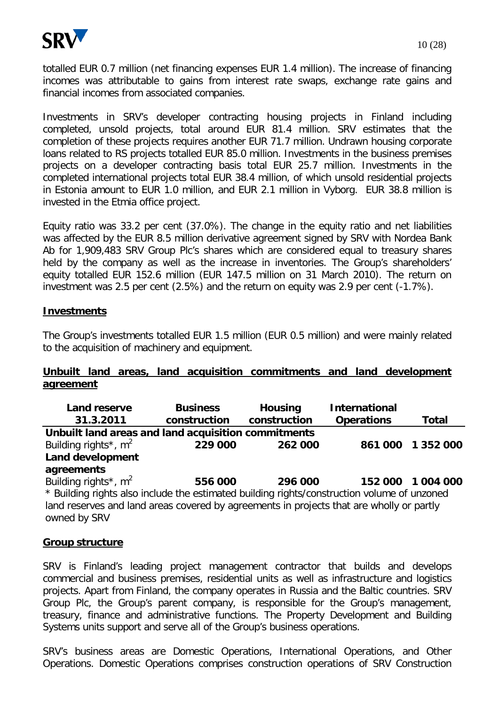

totalled EUR 0.7 million (net financing expenses EUR 1.4 million). The increase of financing incomes was attributable to gains from interest rate swaps, exchange rate gains and financial incomes from associated companies.

Investments in SRV's developer contracting housing projects in Finland including completed, unsold projects, total around EUR 81.4 million. SRV estimates that the completion of these projects requires another EUR 71.7 million. Undrawn housing corporate loans related to RS projects totalled EUR 85.0 million. Investments in the business premises projects on a developer contracting basis total EUR 25.7 million. Investments in the completed international projects total EUR 38.4 million, of which unsold residential projects in Estonia amount to EUR 1.0 million, and EUR 2.1 million in Vyborg. EUR 38.8 million is invested in the Etmia office project.

Equity ratio was 33.2 per cent (37.0%). The change in the equity ratio and net liabilities was affected by the EUR 8.5 million derivative agreement signed by SRV with Nordea Bank Ab for 1,909,483 SRV Group Plc's shares which are considered equal to treasury shares held by the company as well as the increase in inventories. The Group's shareholders' equity totalled EUR 152.6 million (EUR 147.5 million on 31 March 2010). The return on investment was 2.5 per cent (2.5%) and the return on equity was 2.9 per cent (-1.7%).

#### **Investments**

The Group's investments totalled EUR 1.5 million (EUR 0.5 million) and were mainly related to the acquisition of machinery and equipment.

#### **Unbuilt land areas, land acquisition commitments and land development agreement**

| Land reserve                                                                                | <b>Business</b> | <b>Housing</b> | <b>International</b> |           |  |  |
|---------------------------------------------------------------------------------------------|-----------------|----------------|----------------------|-----------|--|--|
| 31.3.2011                                                                                   | construction    | construction   | <b>Operations</b>    | Total     |  |  |
| Unbuilt land areas and land acquisition commitments                                         |                 |                |                      |           |  |  |
| Building rights <sup>*</sup> , $m^2$                                                        | 229 000         | 262 000        | 861000               | 1 352 000 |  |  |
| <b>Land development</b>                                                                     |                 |                |                      |           |  |  |
| agreements                                                                                  |                 |                |                      |           |  |  |
| Building rights <sup>*</sup> , m <sup>2</sup>                                               | 556 000         | 296 000        | 152 000              | 1 004 000 |  |  |
| * Building rights also include the estimated building rights/construction volume of unzoned |                 |                |                      |           |  |  |
| land reserves and land areas covered by agreements in projects that are wholly or partly    |                 |                |                      |           |  |  |
| owned by SRV                                                                                |                 |                |                      |           |  |  |

#### **Group structure**

SRV is Finland's leading project management contractor that builds and develops commercial and business premises, residential units as well as infrastructure and logistics projects. Apart from Finland, the company operates in Russia and the Baltic countries. SRV Group Plc, the Group's parent company, is responsible for the Group's management, treasury, finance and administrative functions. The Property Development and Building Systems units support and serve all of the Group's business operations.

SRV's business areas are Domestic Operations, International Operations, and Other Operations. Domestic Operations comprises construction operations of SRV Construction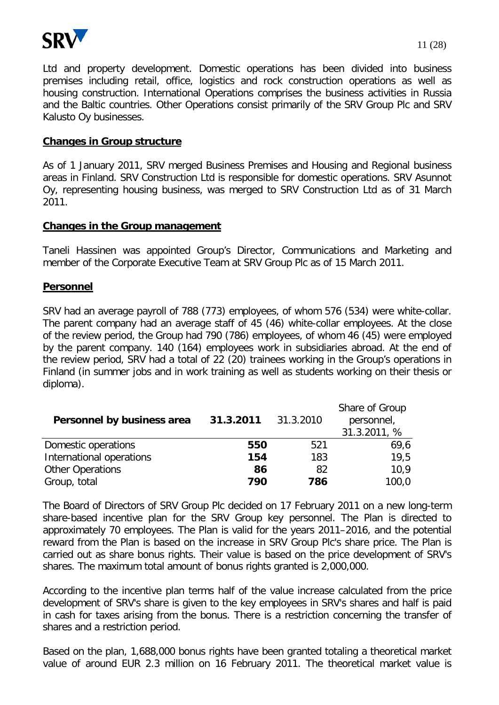

Ltd and property development. Domestic operations has been divided into business premises including retail, office, logistics and rock construction operations as well as housing construction. International Operations comprises the business activities in Russia and the Baltic countries. Other Operations consist primarily of the SRV Group Plc and SRV Kalusto Oy businesses.

#### **Changes in Group structure**

As of 1 January 2011, SRV merged Business Premises and Housing and Regional business areas in Finland. SRV Construction Ltd is responsible for domestic operations. SRV Asunnot Oy, representing housing business, was merged to SRV Construction Ltd as of 31 March 2011.

#### **Changes in the Group management**

Taneli Hassinen was appointed Group's Director, Communications and Marketing and member of the Corporate Executive Team at SRV Group Plc as of 15 March 2011.

#### **Personnel**

SRV had an average payroll of 788 (773) employees, of whom 576 (534) were white-collar. The parent company had an average staff of 45 (46) white-collar employees. At the close of the review period, the Group had 790 (786) employees, of whom 46 (45) were employed by the parent company. 140 (164) employees work in subsidiaries abroad. At the end of the review period, SRV had a total of 22 (20) trainees working in the Group's operations in Finland (in summer jobs and in work training as well as students working on their thesis or diploma).

| Personnel by business area | 31.3.2011 | 31.3.2010 | Share of Group<br>personnel,<br>31.3.2011, % |
|----------------------------|-----------|-----------|----------------------------------------------|
| Domestic operations        | 550       | 521       | 69,6                                         |
| International operations   | 154       | 183       | 19,5                                         |
| <b>Other Operations</b>    | 86        | 82        | 10.9                                         |
| Group, total               | 790       | 786       | 100,0                                        |

The Board of Directors of SRV Group Plc decided on 17 February 2011 on a new long-term share-based incentive plan for the SRV Group key personnel. The Plan is directed to approximately 70 employees. The Plan is valid for the years 2011–2016, and the potential reward from the Plan is based on the increase in SRV Group Plc's share price. The Plan is carried out as share bonus rights. Their value is based on the price development of SRV's shares. The maximum total amount of bonus rights granted is 2,000,000.

According to the incentive plan terms half of the value increase calculated from the price development of SRV's share is given to the key employees in SRV's shares and half is paid in cash for taxes arising from the bonus. There is a restriction concerning the transfer of shares and a restriction period.

Based on the plan, 1,688,000 bonus rights have been granted totaling a theoretical market value of around EUR 2.3 million on 16 February 2011. The theoretical market value is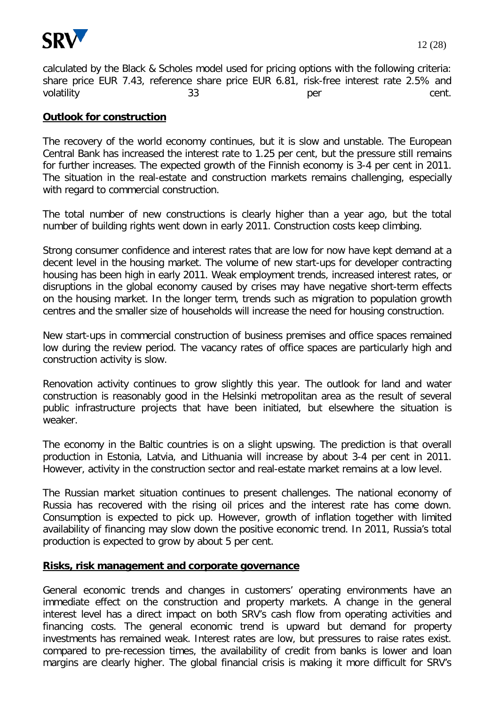

calculated by the Black & Scholes model used for pricing options with the following criteria: share price EUR 7.43, reference share price EUR 6.81, risk-free interest rate 2.5% and volatility and the same state of the state of the state of the state of the state of the state of the state of t

#### **Outlook for construction**

The recovery of the world economy continues, but it is slow and unstable. The European Central Bank has increased the interest rate to 1.25 per cent, but the pressure still remains for further increases. The expected growth of the Finnish economy is 3-4 per cent in 2011. The situation in the real-estate and construction markets remains challenging, especially with regard to commercial construction.

The total number of new constructions is clearly higher than a year ago, but the total number of building rights went down in early 2011. Construction costs keep climbing.

Strong consumer confidence and interest rates that are low for now have kept demand at a decent level in the housing market. The volume of new start-ups for developer contracting housing has been high in early 2011. Weak employment trends, increased interest rates, or disruptions in the global economy caused by crises may have negative short-term effects on the housing market. In the longer term, trends such as migration to population growth centres and the smaller size of households will increase the need for housing construction.

New start-ups in commercial construction of business premises and office spaces remained low during the review period. The vacancy rates of office spaces are particularly high and construction activity is slow.

Renovation activity continues to grow slightly this year. The outlook for land and water construction is reasonably good in the Helsinki metropolitan area as the result of several public infrastructure projects that have been initiated, but elsewhere the situation is weaker.

The economy in the Baltic countries is on a slight upswing. The prediction is that overall production in Estonia, Latvia, and Lithuania will increase by about 3-4 per cent in 2011. However, activity in the construction sector and real-estate market remains at a low level.

The Russian market situation continues to present challenges. The national economy of Russia has recovered with the rising oil prices and the interest rate has come down. Consumption is expected to pick up. However, growth of inflation together with limited availability of financing may slow down the positive economic trend. In 2011, Russia's total production is expected to grow by about 5 per cent.

#### **Risks, risk management and corporate governance**

General economic trends and changes in customers' operating environments have an immediate effect on the construction and property markets. A change in the general interest level has a direct impact on both SRV's cash flow from operating activities and financing costs. The general economic trend is upward but demand for property investments has remained weak. Interest rates are low, but pressures to raise rates exist. compared to pre-recession times, the availability of credit from banks is lower and loan margins are clearly higher. The global financial crisis is making it more difficult for SRV's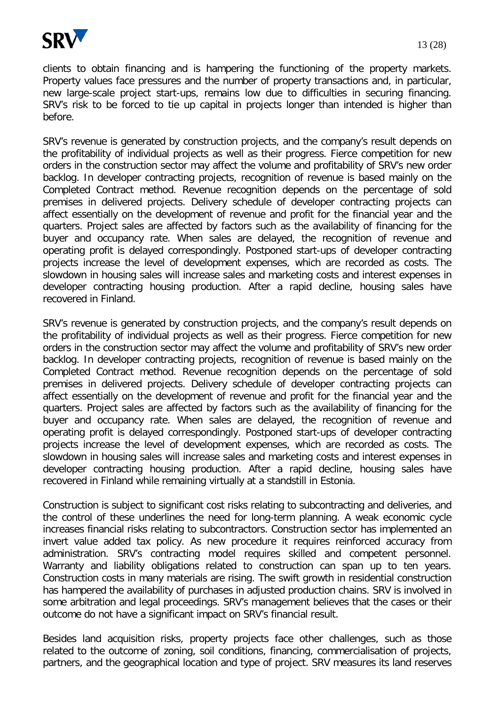

clients to obtain financing and is hampering the functioning of the property markets. Property values face pressures and the number of property transactions and, in particular, new large-scale project start-ups, remains low due to difficulties in securing financing. SRV's risk to be forced to tie up capital in projects longer than intended is higher than before.

SRV's revenue is generated by construction projects, and the company's result depends on the profitability of individual projects as well as their progress. Fierce competition for new orders in the construction sector may affect the volume and profitability of SRV's new order backlog. In developer contracting projects, recognition of revenue is based mainly on the Completed Contract method. Revenue recognition depends on the percentage of sold premises in delivered projects. Delivery schedule of developer contracting projects can affect essentially on the development of revenue and profit for the financial year and the quarters. Project sales are affected by factors such as the availability of financing for the buyer and occupancy rate. When sales are delayed, the recognition of revenue and operating profit is delayed correspondingly. Postponed start-ups of developer contracting projects increase the level of development expenses, which are recorded as costs. The slowdown in housing sales will increase sales and marketing costs and interest expenses in developer contracting housing production. After a rapid decline, housing sales have recovered in Finland.

SRV's revenue is generated by construction projects, and the company's result depends on the profitability of individual projects as well as their progress. Fierce competition for new orders in the construction sector may affect the volume and profitability of SRV's new order backlog. In developer contracting projects, recognition of revenue is based mainly on the Completed Contract method. Revenue recognition depends on the percentage of sold premises in delivered projects. Delivery schedule of developer contracting projects can affect essentially on the development of revenue and profit for the financial year and the quarters. Project sales are affected by factors such as the availability of financing for the buyer and occupancy rate. When sales are delayed, the recognition of revenue and operating profit is delayed correspondingly. Postponed start-ups of developer contracting projects increase the level of development expenses, which are recorded as costs. The slowdown in housing sales will increase sales and marketing costs and interest expenses in developer contracting housing production. After a rapid decline, housing sales have recovered in Finland while remaining virtually at a standstill in Estonia.

Construction is subject to significant cost risks relating to subcontracting and deliveries, and the control of these underlines the need for long-term planning. A weak economic cycle increases financial risks relating to subcontractors. Construction sector has implemented an invert value added tax policy. As new procedure it requires reinforced accuracy from administration. SRV's contracting model requires skilled and competent personnel. Warranty and liability obligations related to construction can span up to ten years. Construction costs in many materials are rising. The swift growth in residential construction has hampered the availability of purchases in adjusted production chains. SRV is involved in some arbitration and legal proceedings. SRV's management believes that the cases or their outcome do not have a significant impact on SRV's financial result.

Besides land acquisition risks, property projects face other challenges, such as those related to the outcome of zoning, soil conditions, financing, commercialisation of projects, partners, and the geographical location and type of project. SRV measures its land reserves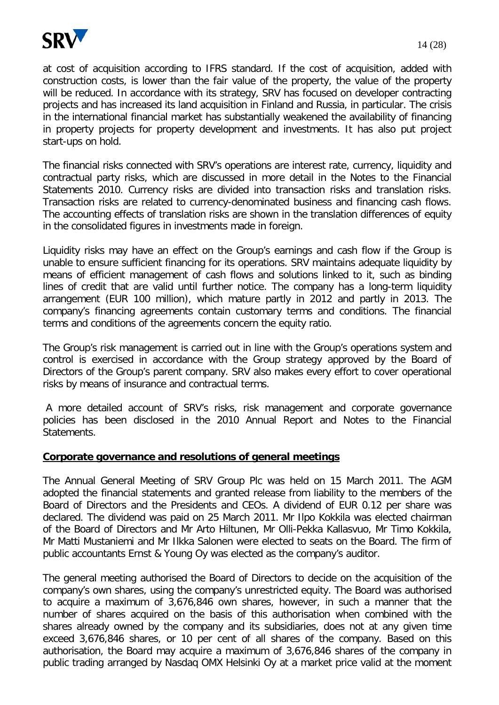

at cost of acquisition according to IFRS standard. If the cost of acquisition, added with construction costs, is lower than the fair value of the property, the value of the property will be reduced. In accordance with its strategy, SRV has focused on developer contracting projects and has increased its land acquisition in Finland and Russia, in particular. The crisis in the international financial market has substantially weakened the availability of financing in property projects for property development and investments. It has also put project start-ups on hold.

The financial risks connected with SRV's operations are interest rate, currency, liquidity and contractual party risks, which are discussed in more detail in the Notes to the Financial Statements 2010. Currency risks are divided into transaction risks and translation risks. Transaction risks are related to currency-denominated business and financing cash flows. The accounting effects of translation risks are shown in the translation differences of equity in the consolidated figures in investments made in foreign.

Liquidity risks may have an effect on the Group's earnings and cash flow if the Group is unable to ensure sufficient financing for its operations. SRV maintains adequate liquidity by means of efficient management of cash flows and solutions linked to it, such as binding lines of credit that are valid until further notice. The company has a long-term liquidity arrangement (EUR 100 million), which mature partly in 2012 and partly in 2013. The company's financing agreements contain customary terms and conditions. The financial terms and conditions of the agreements concern the equity ratio.

The Group's risk management is carried out in line with the Group's operations system and control is exercised in accordance with the Group strategy approved by the Board of Directors of the Group's parent company. SRV also makes every effort to cover operational risks by means of insurance and contractual terms.

A more detailed account of SRV's risks, risk management and corporate governance policies has been disclosed in the 2010 Annual Report and Notes to the Financial Statements.

#### **Corporate governance and resolutions of general meetings**

The Annual General Meeting of SRV Group Plc was held on 15 March 2011. The AGM adopted the financial statements and granted release from liability to the members of the Board of Directors and the Presidents and CEOs. A dividend of EUR 0.12 per share was declared. The dividend was paid on 25 March 2011. Mr Ilpo Kokkila was elected chairman of the Board of Directors and Mr Arto Hiltunen, Mr Olli-Pekka Kallasvuo, Mr Timo Kokkila, Mr Matti Mustaniemi and Mr Ilkka Salonen were elected to seats on the Board. The firm of public accountants Ernst & Young Oy was elected as the company's auditor.

The general meeting authorised the Board of Directors to decide on the acquisition of the company's own shares, using the company's unrestricted equity. The Board was authorised to acquire a maximum of 3,676,846 own shares, however, in such a manner that the number of shares acquired on the basis of this authorisation when combined with the shares already owned by the company and its subsidiaries, does not at any given time exceed 3,676,846 shares, or 10 per cent of all shares of the company. Based on this authorisation, the Board may acquire a maximum of 3,676,846 shares of the company in public trading arranged by Nasdaq OMX Helsinki Oy at a market price valid at the moment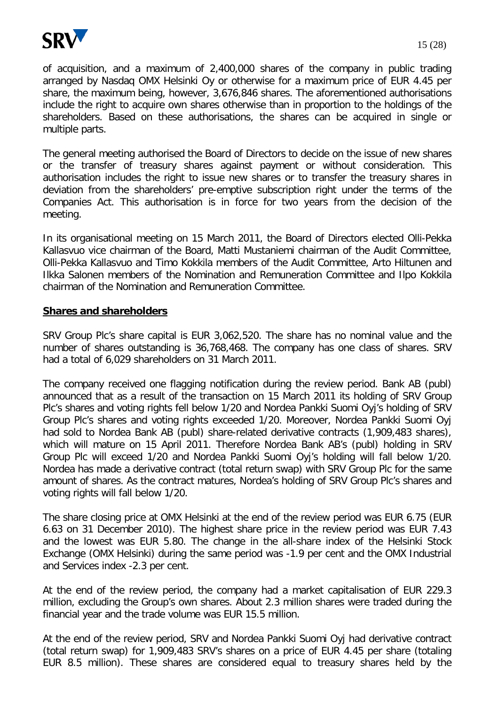

of acquisition, and a maximum of 2,400,000 shares of the company in public trading arranged by Nasdaq OMX Helsinki Oy or otherwise for a maximum price of EUR 4.45 per share, the maximum being, however, 3,676,846 shares. The aforementioned authorisations include the right to acquire own shares otherwise than in proportion to the holdings of the shareholders. Based on these authorisations, the shares can be acquired in single or multiple parts.

The general meeting authorised the Board of Directors to decide on the issue of new shares or the transfer of treasury shares against payment or without consideration. This authorisation includes the right to issue new shares or to transfer the treasury shares in deviation from the shareholders' pre-emptive subscription right under the terms of the Companies Act. This authorisation is in force for two years from the decision of the meeting.

In its organisational meeting on 15 March 2011, the Board of Directors elected Olli-Pekka Kallasvuo vice chairman of the Board, Matti Mustaniemi chairman of the Audit Committee, Olli-Pekka Kallasvuo and Timo Kokkila members of the Audit Committee, Arto Hiltunen and Ilkka Salonen members of the Nomination and Remuneration Committee and Ilpo Kokkila chairman of the Nomination and Remuneration Committee.

#### **Shares and shareholders**

SRV Group Plc's share capital is EUR 3,062,520. The share has no nominal value and the number of shares outstanding is 36,768,468. The company has one class of shares. SRV had a total of 6,029 shareholders on 31 March 2011.

The company received one flagging notification during the review period. Bank AB (publ) announced that as a result of the transaction on 15 March 2011 its holding of SRV Group Plc's shares and voting rights fell below 1/20 and Nordea Pankki Suomi Oyj's holding of SRV Group Plc's shares and voting rights exceeded 1/20. Moreover, Nordea Pankki Suomi Oyj had sold to Nordea Bank AB (publ) share-related derivative contracts (1,909,483 shares), which will mature on 15 April 2011. Therefore Nordea Bank AB's (publ) holding in SRV Group Plc will exceed 1/20 and Nordea Pankki Suomi Oyj's holding will fall below 1/20. Nordea has made a derivative contract (total return swap) with SRV Group Plc for the same amount of shares. As the contract matures, Nordea's holding of SRV Group Plc's shares and voting rights will fall below 1/20.

The share closing price at OMX Helsinki at the end of the review period was EUR 6.75 (EUR 6.63 on 31 December 2010). The highest share price in the review period was EUR 7.43 and the lowest was EUR 5.80. The change in the all-share index of the Helsinki Stock Exchange (OMX Helsinki) during the same period was -1.9 per cent and the OMX Industrial and Services index -2.3 per cent.

At the end of the review period, the company had a market capitalisation of EUR 229.3 million, excluding the Group's own shares. About 2.3 million shares were traded during the financial year and the trade volume was EUR 15.5 million.

At the end of the review period, SRV and Nordea Pankki Suomi Oyj had derivative contract (total return swap) for 1,909,483 SRV's shares on a price of EUR 4.45 per share (totaling EUR 8.5 million). These shares are considered equal to treasury shares held by the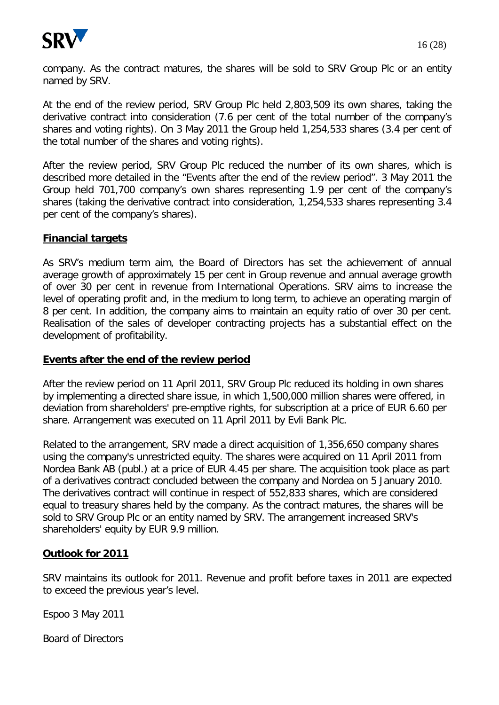

company. As the contract matures, the shares will be sold to SRV Group Plc or an entity named by SRV.

At the end of the review period, SRV Group Plc held 2,803,509 its own shares, taking the derivative contract into consideration (7.6 per cent of the total number of the company's shares and voting rights). On 3 May 2011 the Group held 1,254,533 shares (3.4 per cent of the total number of the shares and voting rights).

After the review period, SRV Group Plc reduced the number of its own shares, which is described more detailed in the "Events after the end of the review period". 3 May 2011 the Group held 701,700 company's own shares representing 1.9 per cent of the company's shares (taking the derivative contract into consideration, 1,254,533 shares representing 3.4 per cent of the company's shares).

#### **Financial targets**

As SRV's medium term aim, the Board of Directors has set the achievement of annual average growth of approximately 15 per cent in Group revenue and annual average growth of over 30 per cent in revenue from International Operations. SRV aims to increase the level of operating profit and, in the medium to long term, to achieve an operating margin of 8 per cent. In addition, the company aims to maintain an equity ratio of over 30 per cent. Realisation of the sales of developer contracting projects has a substantial effect on the development of profitability.

#### **Events after the end of the review period**

After the review period on 11 April 2011, SRV Group Plc reduced its holding in own shares by implementing a directed share issue, in which 1,500,000 million shares were offered, in deviation from shareholders' pre-emptive rights, for subscription at a price of EUR 6.60 per share. Arrangement was executed on 11 April 2011 by Evli Bank Plc.

Related to the arrangement, SRV made a direct acquisition of 1,356,650 company shares using the company's unrestricted equity. The shares were acquired on 11 April 2011 from Nordea Bank AB (publ.) at a price of EUR 4.45 per share. The acquisition took place as part of a derivatives contract concluded between the company and Nordea on 5 January 2010. The derivatives contract will continue in respect of 552,833 shares, which are considered equal to treasury shares held by the company. As the contract matures, the shares will be sold to SRV Group Plc or an entity named by SRV. The arrangement increased SRV's shareholders' equity by EUR 9.9 million.

#### **Outlook for 2011**

SRV maintains its outlook for 2011. Revenue and profit before taxes in 2011 are expected to exceed the previous year's level.

Espoo 3 May 2011

Board of Directors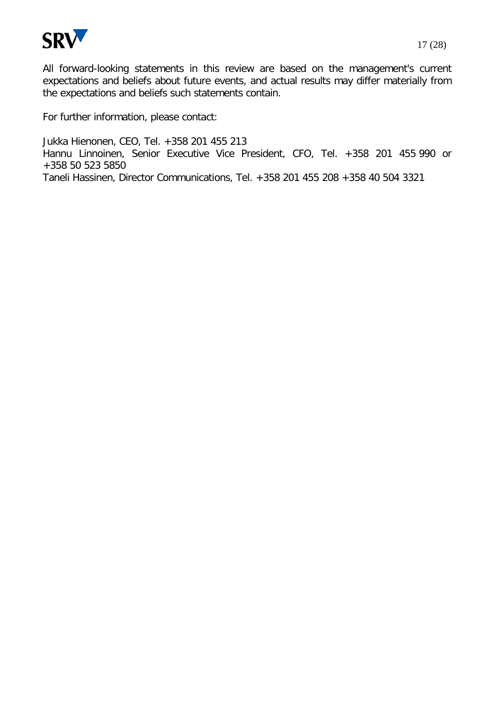

All forward-looking statements in this review are based on the management's current expectations and beliefs about future events, and actual results may differ materially from the expectations and beliefs such statements contain.

For further information, please contact:

Jukka Hienonen, CEO, Tel. +358 201 455 213 Hannu Linnoinen, Senior Executive Vice President, CFO, Tel. +358 201 455 990 or +358 50 523 5850 Taneli Hassinen, Director Communications, Tel. +358 201 455 208 +358 40 504 3321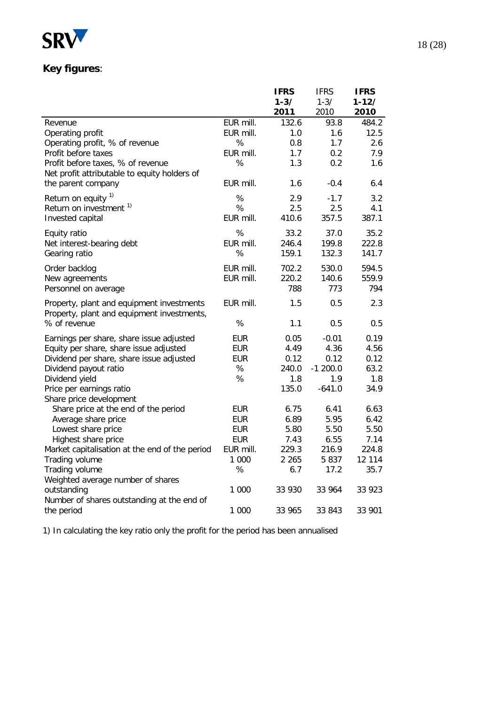

# **Key figures**:

|                                                                                         |            | <b>IFRS</b> | <b>IFRS</b> | <b>IFRS</b> |
|-----------------------------------------------------------------------------------------|------------|-------------|-------------|-------------|
|                                                                                         |            | $1 - 3/$    | $1 - 3/$    | $1 - 12/$   |
|                                                                                         |            | 2011        | 2010        | 2010        |
| Revenue                                                                                 | EUR mill.  | 132.6       | 93.8        | 484.2       |
| Operating profit                                                                        | EUR mill.  | 1.0         | 1.6         | 12.5        |
| Operating profit, % of revenue                                                          | %          | 0.8         | 1.7         | 2.6         |
| Profit before taxes                                                                     | EUR mill.  | 1.7         | 0.2         | 7.9         |
| Profit before taxes, % of revenue                                                       | %          | 1.3         | 0.2         | 1.6         |
| Net profit attributable to equity holders of                                            |            |             |             |             |
| the parent company                                                                      | EUR mill.  | 1.6         | $-0.4$      | 6.4         |
| Return on equity <sup>1)</sup>                                                          | %          | 2.9         | $-1.7$      | 3.2         |
| Return on investment <sup>1)</sup>                                                      | %          | 2.5         | 2.5         | 4.1         |
| Invested capital                                                                        | EUR mill.  | 410.6       | 357.5       | 387.1       |
| Equity ratio                                                                            | %          | 33.2        | 37.0        | 35.2        |
| Net interest-bearing debt                                                               | EUR mill.  | 246.4       | 199.8       | 222.8       |
| Gearing ratio                                                                           | %          | 159.1       | 132.3       | 141.7       |
| Order backlog                                                                           | EUR mill.  | 702.2       | 530.0       | 594.5       |
| New agreements                                                                          | EUR mill.  | 220.2       | 140.6       | 559.9       |
| Personnel on average                                                                    |            | 788         | 773         | 794         |
| Property, plant and equipment investments<br>Property, plant and equipment investments, | EUR mill.  | 1.5         | 0.5         | 2.3         |
| % of revenue                                                                            | %          | 1.1         | 0.5         | 0.5         |
| Earnings per share, share issue adjusted                                                | <b>EUR</b> | 0.05        | $-0.01$     | 0.19        |
| Equity per share, share issue adjusted                                                  | <b>EUR</b> | 4.49        | 4.36        | 4.56        |
| Dividend per share, share issue adjusted                                                | <b>EUR</b> | 0.12        | 0.12        | 0.12        |
| Dividend payout ratio                                                                   | $\%$       | 240.0       | $-1200.0$   | 63.2        |
| Dividend yield                                                                          | $\%$       | 1.8         | 1.9         | 1.8         |
| Price per earnings ratio                                                                |            | 135.0       | $-641.0$    | 34.9        |
| Share price development                                                                 |            |             |             |             |
| Share price at the end of the period                                                    | <b>EUR</b> | 6.75        | 6.41        | 6.63        |
| Average share price                                                                     | <b>EUR</b> | 6.89        | 5.95        | 6.42        |
| Lowest share price                                                                      | <b>EUR</b> | 5.80        | 5.50        | 5.50        |
| Highest share price                                                                     | <b>EUR</b> | 7.43        | 6.55        | 7.14        |
| Market capitalisation at the end of the period                                          | EUR mill.  | 229.3       | 216.9       | 224.8       |
| Trading volume                                                                          | 1 000      | 2 2 6 5     | 5837        | 12 114      |
| Trading volume                                                                          | %          | 6.7         | 17.2        | 35.7        |
| Weighted average number of shares                                                       |            |             |             |             |
| outstanding                                                                             | 1 000      | 33 930      | 33 964      | 33 923      |
| Number of shares outstanding at the end of                                              |            |             |             |             |
| the period                                                                              | 1 000      | 33 965      | 33 843      | 33 901      |

1) In calculating the key ratio only the profit for the period has been annualised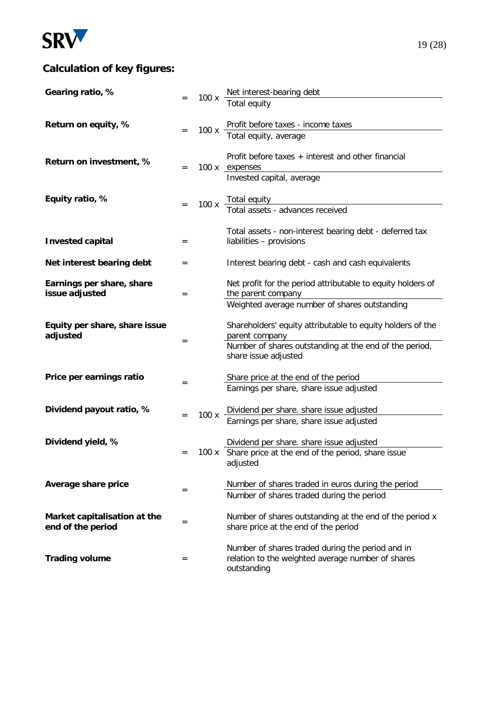

# **Calculation of key figures:**

| Gearing ratio, %                                  |     |      | 100 x $\frac{\text{Net interest-bearing debt}}{\text{?}}$                                       |
|---------------------------------------------------|-----|------|-------------------------------------------------------------------------------------------------|
|                                                   |     |      | Total equity                                                                                    |
|                                                   |     |      |                                                                                                 |
| Return on equity, %                               | $=$ | 100x | Profit before taxes - income taxes<br>Total equity, average                                     |
|                                                   |     |      |                                                                                                 |
|                                                   |     |      | Profit before taxes + interest and other financial                                              |
| Return on investment, %                           | $=$ |      | 100 x expenses                                                                                  |
|                                                   |     |      | Invested capital, average                                                                       |
| Equity ratio, %                                   |     |      |                                                                                                 |
|                                                   |     |      | 100 x Total equity<br>Total assets - advances received                                          |
|                                                   |     |      |                                                                                                 |
|                                                   |     |      | Total assets - non-interest bearing debt - deferred tax                                         |
| <b>Invested capital</b>                           | $=$ |      | liabilities - provisions                                                                        |
| Net interest bearing debt                         | $=$ |      | Interest bearing debt - cash and cash equivalents                                               |
|                                                   |     |      |                                                                                                 |
| Earnings per share, share                         |     |      | Net profit for the period attributable to equity holders of                                     |
| issue adjusted                                    | $=$ |      | the parent company<br>Weighted average number of shares outstanding                             |
|                                                   |     |      |                                                                                                 |
| Equity per share, share issue                     |     |      | Shareholders' equity attributable to equity holders of the                                      |
| adjusted                                          | $=$ |      | parent company                                                                                  |
|                                                   |     |      | Number of shares outstanding at the end of the period,<br>share issue adjusted                  |
|                                                   |     |      |                                                                                                 |
| Price per earnings ratio                          | $=$ |      | Share price at the end of the period                                                            |
|                                                   |     |      | Earnings per share, share issue adjusted                                                        |
| Dividend payout ratio, %                          |     |      | Dividend per share. share issue adjusted                                                        |
|                                                   | $=$ | 100x | Earnings per share, share issue adjusted                                                        |
|                                                   |     |      |                                                                                                 |
| Dividend yield, %                                 |     |      | Dividend per share. share issue adjusted                                                        |
|                                                   | $=$ |      | 100 x Share price at the end of the period, share issue<br>adjusted                             |
|                                                   |     |      |                                                                                                 |
| Average share price                               | $=$ |      | Number of shares traded in euros during the period                                              |
|                                                   |     |      | Number of shares traded during the period                                                       |
|                                                   |     |      |                                                                                                 |
| Market capitalisation at the<br>end of the period | $=$ |      | Number of shares outstanding at the end of the period x<br>share price at the end of the period |
|                                                   |     |      |                                                                                                 |
|                                                   |     |      | Number of shares traded during the period and in                                                |
| <b>Trading volume</b>                             | $=$ |      | relation to the weighted average number of shares<br>outstanding                                |
|                                                   |     |      |                                                                                                 |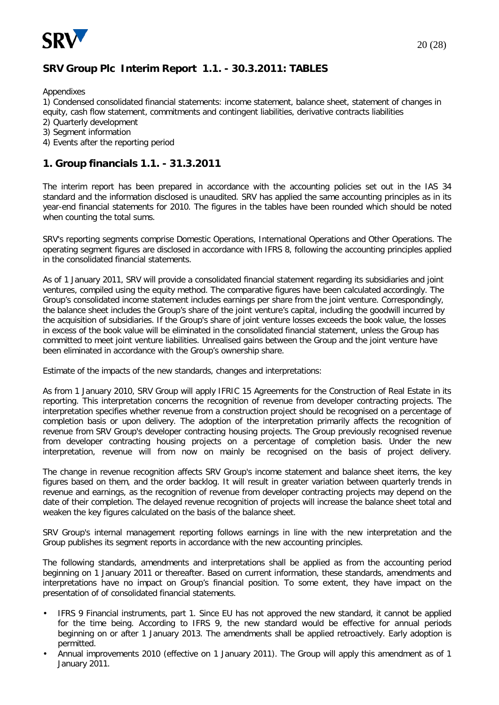

## **SRV Group Plc Interim Report 1.1. - 30.3.2011: TABLES**

Appendixes

1) Condensed consolidated financial statements: income statement, balance sheet, statement of changes in equity, cash flow statement, commitments and contingent liabilities, derivative contracts liabilities

- 2) Quarterly development
- 3) Segment information
- 4) Events after the reporting period

#### **1. Group financials 1.1. - 31.3.2011**

The interim report has been prepared in accordance with the accounting policies set out in the IAS 34 standard and the information disclosed is unaudited. SRV has applied the same accounting principles as in its year-end financial statements for 2010. The figures in the tables have been rounded which should be noted when counting the total sums.

SRV's reporting segments comprise Domestic Operations, International Operations and Other Operations. The operating segment figures are disclosed in accordance with IFRS 8, following the accounting principles applied in the consolidated financial statements.

As of 1 January 2011, SRV will provide a consolidated financial statement regarding its subsidiaries and joint ventures, compiled using the equity method. The comparative figures have been calculated accordingly. The Group's consolidated income statement includes earnings per share from the joint venture. Correspondingly, the balance sheet includes the Group's share of the joint venture's capital, including the goodwill incurred by the acquisition of subsidiaries. If the Group's share of joint venture losses exceeds the book value, the losses in excess of the book value will be eliminated in the consolidated financial statement, unless the Group has committed to meet joint venture liabilities. Unrealised gains between the Group and the joint venture have been eliminated in accordance with the Group's ownership share.

Estimate of the impacts of the new standards, changes and interpretations:

As from 1 January 2010, SRV Group will apply IFRIC 15 Agreements for the Construction of Real Estate in its reporting. This interpretation concerns the recognition of revenue from developer contracting projects. The interpretation specifies whether revenue from a construction project should be recognised on a percentage of completion basis or upon delivery. The adoption of the interpretation primarily affects the recognition of revenue from SRV Group's developer contracting housing projects. The Group previously recognised revenue from developer contracting housing projects on a percentage of completion basis. Under the new interpretation, revenue will from now on mainly be recognised on the basis of project delivery.

The change in revenue recognition affects SRV Group's income statement and balance sheet items, the key figures based on them, and the order backlog. It will result in greater variation between quarterly trends in revenue and earnings, as the recognition of revenue from developer contracting projects may depend on the date of their completion. The delayed revenue recognition of projects will increase the balance sheet total and weaken the key figures calculated on the basis of the balance sheet.

SRV Group's internal management reporting follows earnings in line with the new interpretation and the Group publishes its segment reports in accordance with the new accounting principles.

The following standards, amendments and interpretations shall be applied as from the accounting period beginning on 1 January 2011 or thereafter. Based on current information, these standards, amendments and interpretations have no impact on Group's financial position. To some extent, they have impact on the presentation of of consolidated financial statements.

- IFRS 9 Financial instruments, part 1. Since EU has not approved the new standard, it cannot be applied for the time being. According to IFRS 9, the new standard would be effective for annual periods beginning on or after 1 January 2013. The amendments shall be applied retroactively. Early adoption is permitted.
- Annual improvements 2010 (effective on 1 January 2011). The Group will apply this amendment as of 1 January 2011.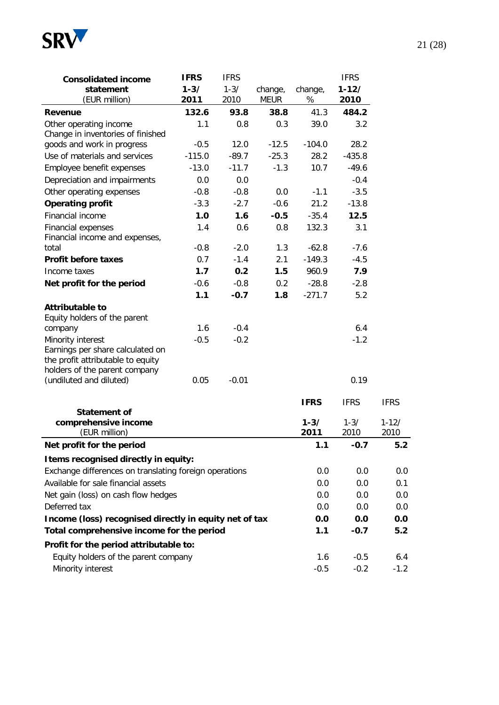

| <b>Consolidated income</b>                                                                                                  | <b>IFRS</b>      | <b>IFRS</b>      |                        |                  | <b>IFRS</b>       |                   |
|-----------------------------------------------------------------------------------------------------------------------------|------------------|------------------|------------------------|------------------|-------------------|-------------------|
| statement<br>(EUR million)                                                                                                  | $1 - 3/$<br>2011 | $1 - 3/$<br>2010 | change,<br><b>MEUR</b> | change,<br>%     | $1 - 12/$<br>2010 |                   |
| Revenue                                                                                                                     | 132.6            | 93.8             | 38.8                   | 41.3             | 484.2             |                   |
| Other operating income<br>Change in inventories of finished                                                                 | 1.1              | 0.8              | 0.3                    | 39.0             | 3.2               |                   |
| goods and work in progress                                                                                                  | $-0.5$           | 12.0             | $-12.5$                | $-104.0$         | 28.2              |                   |
| Use of materials and services                                                                                               | $-115.0$         | $-89.7$          | $-25.3$                | 28.2             | $-435.8$          |                   |
| Employee benefit expenses                                                                                                   | $-13.0$          | $-11.7$          | $-1.3$                 | 10.7             | $-49.6$           |                   |
| Depreciation and impairments                                                                                                | 0.0              | 0.0              |                        |                  | $-0.4$            |                   |
| Other operating expenses                                                                                                    | $-0.8$           | $-0.8$           | 0.0                    | $-1.1$           | $-3.5$            |                   |
| <b>Operating profit</b>                                                                                                     | $-3.3$           | $-2.7$           | $-0.6$                 | 21.2             | $-13.8$           |                   |
| Financial income                                                                                                            | 1.0              | 1.6              | $-0.5$                 | $-35.4$          | 12.5              |                   |
| <b>Financial expenses</b><br>Financial income and expenses,                                                                 | 1.4              | 0.6              | 0.8                    | 132.3            | 3.1               |                   |
| total                                                                                                                       | $-0.8$           | $-2.0$           | 1.3                    | $-62.8$          | $-7.6$            |                   |
| <b>Profit before taxes</b>                                                                                                  | 0.7              | $-1.4$           | 2.1                    | $-149.3$         | $-4.5$            |                   |
| Income taxes                                                                                                                | 1.7              | 0.2              | 1.5                    | 960.9            | 7.9               |                   |
| Net profit for the period                                                                                                   | $-0.6$           | $-0.8$           | 0.2                    | $-28.8$          | $-2.8$            |                   |
|                                                                                                                             | 1.1              | $-0.7$           | 1.8                    | $-271.7$         | 5.2               |                   |
| <b>Attributable to</b><br>Equity holders of the parent                                                                      |                  |                  |                        |                  |                   |                   |
| company                                                                                                                     | 1.6              | $-0.4$           |                        |                  | 6.4               |                   |
| Minority interest<br>Earnings per share calculated on<br>the profit attributable to equity<br>holders of the parent company | $-0.5$           | $-0.2$           |                        |                  | $-1.2$            |                   |
| (undiluted and diluted)                                                                                                     | 0.05             | $-0.01$          |                        |                  | 0.19              |                   |
| <b>Statement of</b>                                                                                                         |                  |                  |                        | <b>IFRS</b>      | <b>IFRS</b>       | <b>IFRS</b>       |
| comprehensive income<br>(EUR million)                                                                                       |                  |                  |                        | $1 - 3/$<br>2011 | $1 - 3/$<br>2010  | $1 - 12/$<br>2010 |
| Net profit for the period                                                                                                   |                  |                  |                        | 1.1              | $-0.7$            | 5.2               |
| Items recognised directly in equity:                                                                                        |                  |                  |                        |                  |                   |                   |
| Exchange differences on translating foreign operations                                                                      |                  |                  |                        | 0.0              | 0.0               | 0.0               |
| Available for sale financial assets                                                                                         |                  |                  |                        | 0.0              | 0.0               | 0.1               |
| Net gain (loss) on cash flow hedges                                                                                         |                  |                  |                        | 0.0              | 0.0               | 0.0               |
| Deferred tax                                                                                                                |                  |                  |                        | 0.0              | 0.0               | 0.0               |
| Income (loss) recognised directly in equity net of tax                                                                      |                  |                  |                        | 0.0              | 0.0               | 0.0               |
| Total comprehensive income for the period                                                                                   |                  |                  |                        | 1.1              | $-0.7$            | 5.2               |
|                                                                                                                             |                  |                  |                        |                  |                   |                   |
| Profit for the period attributable to:                                                                                      |                  |                  |                        |                  |                   |                   |
| Equity holders of the parent company                                                                                        |                  |                  |                        | 1.6              | $-0.5$            | 6.4               |
| Minority interest                                                                                                           |                  |                  |                        | $-0.5$           | $-0.2$            | $-1.2$            |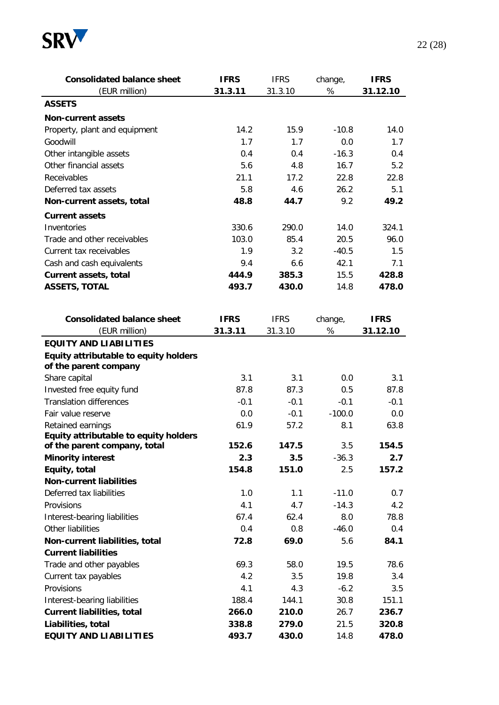

| $\%$<br>(EUR million)<br>31.3.11<br>31.3.10<br><b>ASSETS</b><br><b>Non-current assets</b><br>14.2<br>15.9<br>$-10.8$<br>Property, plant and equipment<br>Goodwill<br>1.7<br>1.7<br>0.0<br>$-16.3$<br>Other intangible assets<br>0.4<br>0.4<br>Other financial assets<br>5.6<br>4.8<br>16.7<br>Receivables<br>21.1<br>22.8<br>17.2<br>Deferred tax assets<br>5.8<br>26.2<br>4.6<br>9.2<br>48.8<br>44.7<br>Non-current assets, total<br><b>Current assets</b><br>Inventories<br>330.6<br>290.0<br>14.0<br>Trade and other receivables<br>103.0<br>85.4<br>20.5<br>1.9<br>Current tax receivables<br>3.2<br>$-40.5$<br>9.4<br>42.1<br>Cash and cash equivalents<br>6.6 | 31.12.10<br>14.0<br>1.7<br>0.4<br>5.2<br>22.8<br>5.1<br>49.2<br>324.1<br>96.0<br>1.5<br>7.1 |
|---------------------------------------------------------------------------------------------------------------------------------------------------------------------------------------------------------------------------------------------------------------------------------------------------------------------------------------------------------------------------------------------------------------------------------------------------------------------------------------------------------------------------------------------------------------------------------------------------------------------------------------------------------------------|---------------------------------------------------------------------------------------------|
|                                                                                                                                                                                                                                                                                                                                                                                                                                                                                                                                                                                                                                                                     |                                                                                             |
|                                                                                                                                                                                                                                                                                                                                                                                                                                                                                                                                                                                                                                                                     |                                                                                             |
|                                                                                                                                                                                                                                                                                                                                                                                                                                                                                                                                                                                                                                                                     |                                                                                             |
|                                                                                                                                                                                                                                                                                                                                                                                                                                                                                                                                                                                                                                                                     |                                                                                             |
|                                                                                                                                                                                                                                                                                                                                                                                                                                                                                                                                                                                                                                                                     |                                                                                             |
|                                                                                                                                                                                                                                                                                                                                                                                                                                                                                                                                                                                                                                                                     |                                                                                             |
|                                                                                                                                                                                                                                                                                                                                                                                                                                                                                                                                                                                                                                                                     |                                                                                             |
|                                                                                                                                                                                                                                                                                                                                                                                                                                                                                                                                                                                                                                                                     |                                                                                             |
|                                                                                                                                                                                                                                                                                                                                                                                                                                                                                                                                                                                                                                                                     |                                                                                             |
|                                                                                                                                                                                                                                                                                                                                                                                                                                                                                                                                                                                                                                                                     |                                                                                             |
|                                                                                                                                                                                                                                                                                                                                                                                                                                                                                                                                                                                                                                                                     |                                                                                             |
|                                                                                                                                                                                                                                                                                                                                                                                                                                                                                                                                                                                                                                                                     |                                                                                             |
|                                                                                                                                                                                                                                                                                                                                                                                                                                                                                                                                                                                                                                                                     |                                                                                             |
|                                                                                                                                                                                                                                                                                                                                                                                                                                                                                                                                                                                                                                                                     |                                                                                             |
|                                                                                                                                                                                                                                                                                                                                                                                                                                                                                                                                                                                                                                                                     |                                                                                             |
| 444.9<br>385.3<br>15.5<br><b>Current assets, total</b>                                                                                                                                                                                                                                                                                                                                                                                                                                                                                                                                                                                                              | 428.8                                                                                       |
| <b>ASSETS, TOTAL</b><br>493.7<br>430.0<br>14.8                                                                                                                                                                                                                                                                                                                                                                                                                                                                                                                                                                                                                      | 478.0                                                                                       |
|                                                                                                                                                                                                                                                                                                                                                                                                                                                                                                                                                                                                                                                                     |                                                                                             |
| <b>Consolidated balance sheet</b><br><b>IFRS</b><br><b>IFRS</b><br>change,                                                                                                                                                                                                                                                                                                                                                                                                                                                                                                                                                                                          | <b>IFRS</b>                                                                                 |
| $\%$<br>(EUR million)<br>31.3.11<br>31.3.10                                                                                                                                                                                                                                                                                                                                                                                                                                                                                                                                                                                                                         | 31.12.10                                                                                    |
| <b>EQUITY AND LIABILITIES</b>                                                                                                                                                                                                                                                                                                                                                                                                                                                                                                                                                                                                                                       |                                                                                             |
| Equity attributable to equity holders<br>of the parent company                                                                                                                                                                                                                                                                                                                                                                                                                                                                                                                                                                                                      |                                                                                             |
| 3.1<br>Share capital<br>3.1<br>0.0                                                                                                                                                                                                                                                                                                                                                                                                                                                                                                                                                                                                                                  | 3.1                                                                                         |
| Invested free equity fund<br>87.8<br>87.3<br>0.5                                                                                                                                                                                                                                                                                                                                                                                                                                                                                                                                                                                                                    | 87.8                                                                                        |
| <b>Translation differences</b><br>$-0.1$<br>$-0.1$<br>$-0.1$                                                                                                                                                                                                                                                                                                                                                                                                                                                                                                                                                                                                        | $-0.1$                                                                                      |
| $-0.1$<br>$-100.0$<br>Fair value reserve<br>0.0                                                                                                                                                                                                                                                                                                                                                                                                                                                                                                                                                                                                                     | 0.0                                                                                         |
|                                                                                                                                                                                                                                                                                                                                                                                                                                                                                                                                                                                                                                                                     |                                                                                             |
| Retained earnings<br>61.9<br>57.2<br>8.1<br>Equity attributable to equity holders                                                                                                                                                                                                                                                                                                                                                                                                                                                                                                                                                                                   | 63.8                                                                                        |
| 152.6<br>147.5<br>3.5<br>of the parent company, total                                                                                                                                                                                                                                                                                                                                                                                                                                                                                                                                                                                                               | 154.5                                                                                       |
| <b>Minority interest</b><br>2.3<br>3.5<br>$-36.3$                                                                                                                                                                                                                                                                                                                                                                                                                                                                                                                                                                                                                   | 2.7                                                                                         |
| Equity, total<br>154.8<br>151.0<br>2.5                                                                                                                                                                                                                                                                                                                                                                                                                                                                                                                                                                                                                              | 157.2                                                                                       |
| <b>Non-current liabilities</b>                                                                                                                                                                                                                                                                                                                                                                                                                                                                                                                                                                                                                                      |                                                                                             |
| Deferred tax liabilities<br>1.0<br>1.1<br>$-11.0$                                                                                                                                                                                                                                                                                                                                                                                                                                                                                                                                                                                                                   | 0.7                                                                                         |
| Provisions<br>4.1<br>4.7<br>$-14.3$                                                                                                                                                                                                                                                                                                                                                                                                                                                                                                                                                                                                                                 | 4.2                                                                                         |
| Interest-bearing liabilities<br>8.0<br>67.4<br>62.4                                                                                                                                                                                                                                                                                                                                                                                                                                                                                                                                                                                                                 | 78.8                                                                                        |
| Other liabilities<br>0.4<br>0.8<br>$-46.0$                                                                                                                                                                                                                                                                                                                                                                                                                                                                                                                                                                                                                          | 0.4                                                                                         |
| Non-current liabilities, total<br>72.8<br>69.0<br>5.6                                                                                                                                                                                                                                                                                                                                                                                                                                                                                                                                                                                                               | 84.1                                                                                        |
| <b>Current liabilities</b>                                                                                                                                                                                                                                                                                                                                                                                                                                                                                                                                                                                                                                          |                                                                                             |
| Trade and other payables<br>69.3<br>58.0<br>19.5                                                                                                                                                                                                                                                                                                                                                                                                                                                                                                                                                                                                                    | 78.6                                                                                        |
| 4.2<br>Current tax payables<br>3.5<br>19.8                                                                                                                                                                                                                                                                                                                                                                                                                                                                                                                                                                                                                          | 3.4                                                                                         |
| Provisions<br>4.1<br>$-6.2$<br>4.3                                                                                                                                                                                                                                                                                                                                                                                                                                                                                                                                                                                                                                  | 3.5                                                                                         |
| 188.4<br>30.8<br>144.1                                                                                                                                                                                                                                                                                                                                                                                                                                                                                                                                                                                                                                              |                                                                                             |
| Interest-bearing liabilities                                                                                                                                                                                                                                                                                                                                                                                                                                                                                                                                                                                                                                        |                                                                                             |
| <b>Current liabilities, total</b><br>266.0<br>210.0<br>26.7                                                                                                                                                                                                                                                                                                                                                                                                                                                                                                                                                                                                         | 151.1                                                                                       |
| Liabilities, total<br>21.5<br>338.8<br>279.0<br><b>EQUITY AND LIABILITIES</b><br>493.7<br>430.0<br>14.8                                                                                                                                                                                                                                                                                                                                                                                                                                                                                                                                                             | 236.7<br>320.8                                                                              |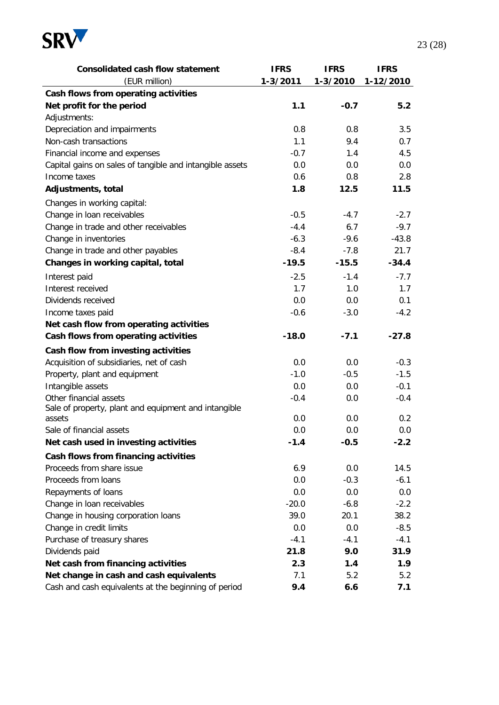

| <b>Consolidated cash flow statement</b>                  | <b>IFRS</b>   | <b>IFRS</b>   | <b>IFRS</b> |
|----------------------------------------------------------|---------------|---------------|-------------|
| (EUR million)                                            | 1-3/2011      | 1-3/2010      | 1-12/2010   |
| Cash flows from operating activities                     |               |               |             |
| Net profit for the period                                | 1.1           | $-0.7$        | 5.2         |
| Adjustments:                                             |               |               |             |
| Depreciation and impairments                             | 0.8           | 0.8           | 3.5         |
| Non-cash transactions                                    | 1.1           | 9.4           | 0.7         |
| Financial income and expenses                            | $-0.7$        | 1.4           | 4.5         |
| Capital gains on sales of tangible and intangible assets | 0.0           | 0.0           | 0.0         |
| Income taxes                                             | 0.6           | 0.8           | 2.8         |
| Adjustments, total                                       | 1.8           | 12.5          | 11.5        |
| Changes in working capital:                              |               |               |             |
| Change in loan receivables                               | $-0.5$        | $-4.7$        | $-2.7$      |
| Change in trade and other receivables                    | $-4.4$        | 6.7           | $-9.7$      |
| Change in inventories                                    | $-6.3$        | $-9.6$        | $-43.8$     |
| Change in trade and other payables                       | $-8.4$        | $-7.8$        | 21.7        |
| Changes in working capital, total                        | $-19.5$       | $-15.5$       | $-34.4$     |
| Interest paid                                            | $-2.5$        | $-1.4$        | $-7.7$      |
| Interest received                                        | 1.7           | 1.0           | 1.7         |
| Dividends received                                       | 0.0           | 0.0           | 0.1         |
| Income taxes paid                                        | $-0.6$        | $-3.0$        | $-4.2$      |
| Net cash flow from operating activities                  |               |               |             |
| Cash flows from operating activities                     | $-18.0$       | $-7.1$        | $-27.8$     |
| Cash flow from investing activities                      |               |               |             |
| Acquisition of subsidiaries, net of cash                 | 0.0           | 0.0           | $-0.3$      |
| Property, plant and equipment                            | $-1.0$        | $-0.5$        | $-1.5$      |
| Intangible assets                                        | 0.0           | 0.0           | $-0.1$      |
| Other financial assets                                   | $-0.4$        | 0.0           | $-0.4$      |
| Sale of property, plant and equipment and intangible     |               |               |             |
| assets<br>Sale of financial assets                       | 0.0           | 0.0           | 0.2         |
|                                                          | 0.0<br>$-1.4$ | 0.0<br>$-0.5$ | 0.0         |
| Net cash used in investing activities                    |               |               | $-2.2$      |
| Cash flows from financing activities                     |               |               |             |
| Proceeds from share issue                                | 6.9           | 0.0           | 14.5        |
| Proceeds from loans                                      | 0.0           | $-0.3$        | $-6.1$      |
| Repayments of loans                                      | 0.0           | 0.0           | 0.0         |
| Change in loan receivables                               | $-20.0$       | $-6.8$        | $-2.2$      |
| Change in housing corporation loans                      | 39.0          | 20.1          | 38.2        |
| Change in credit limits                                  | 0.0           | 0.0           | $-8.5$      |
| Purchase of treasury shares                              | $-4.1$        | $-4.1$        | $-4.1$      |
| Dividends paid                                           | 21.8          | 9.0           | 31.9        |
| Net cash from financing activities                       | 2.3           | 1.4           | 1.9         |
| Net change in cash and cash equivalents                  | 7.1           | 5.2           | 5.2         |
| Cash and cash equivalents at the beginning of period     | 9.4           | 6.6           | 7.1         |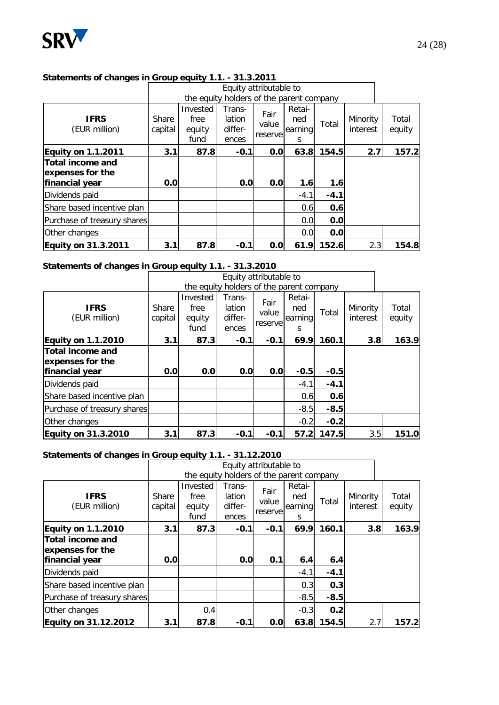

#### **Statements of changes in Group equity 1.1. - 31.3.2011**

|                                                                |                  |                                    | Equity attributable to                   |                          |                               |        |                      |                 |
|----------------------------------------------------------------|------------------|------------------------------------|------------------------------------------|--------------------------|-------------------------------|--------|----------------------|-----------------|
|                                                                |                  |                                    | the equity holders of the parent company |                          |                               |        |                      |                 |
| <b>IFRS</b><br>(EUR million)                                   | Share<br>capital | Invested<br>free<br>equity<br>fund | Trans-<br>lation<br>differ-<br>ences     | Fair<br>value<br>reserve | Retai-<br>ned<br>earning<br>S | Total  | Minority<br>interest | Total<br>equity |
| <b>Equity on 1.1.2011</b>                                      | 3.1              | 87.8                               | $-0.1$                                   | 0.0                      | 63.8                          | 154.5  | 2.7                  | 157.2           |
| <b>Total income and</b><br>expenses for the<br> financial year | 0.0              |                                    | 0.0                                      | 0.0                      | 1.6                           | 1.6    |                      |                 |
| Dividends paid                                                 |                  |                                    |                                          |                          | $-4.1$                        | $-4.1$ |                      |                 |
| Share based incentive plan                                     |                  |                                    |                                          |                          | 0.6                           | 0.6    |                      |                 |
| Purchase of treasury shares                                    |                  |                                    |                                          |                          | 0.0                           | 0.0    |                      |                 |
| Other changes                                                  |                  |                                    |                                          |                          | 0.0                           | 0.0    |                      |                 |
| <b>Equity on 31.3.2011</b>                                     | 3.1              | 87.8                               | $-0.1$                                   | 0.0                      | 61.9                          | 152.6  | 2.3                  | 154.8           |

#### **Statements of changes in Group equity 1.1. - 31.3.2010**

|                                                               |                  |                                    | Equity attributable to                   |                           |                               |        |                      |                 |
|---------------------------------------------------------------|------------------|------------------------------------|------------------------------------------|---------------------------|-------------------------------|--------|----------------------|-----------------|
|                                                               |                  |                                    | the equity holders of the parent company |                           |                               |        |                      |                 |
| <b>IFRS</b><br>(EUR million)                                  | Share<br>capital | Invested<br>free<br>equity<br>fund | Trans-<br>lation<br>differ-<br>ences     | Fair<br>value<br>reservel | Retai-<br>ned<br>earning<br>S | Total  | Minority<br>interest | Total<br>equity |
| <b>Equity on 1.1.2010</b>                                     | 3.1              | 87.3                               | $-0.1$                                   | $-0.1$                    | 69.9                          | 160.1  | 3.8                  | 163.9           |
| <b>Total income and</b><br>expenses for the<br>financial year | 0.0              | 0.0                                | 0.0                                      | 0.0                       | $-0.5$                        | $-0.5$ |                      |                 |
| Dividends paid                                                |                  |                                    |                                          |                           | $-4.1$                        | $-4.1$ |                      |                 |
| Share based incentive plan                                    |                  |                                    |                                          |                           | 0.6                           | 0.6    |                      |                 |
| Purchase of treasury shares                                   |                  |                                    |                                          |                           | $-8.5$                        | $-8.5$ |                      |                 |
| Other changes                                                 |                  |                                    |                                          |                           | $-0.2$                        | $-0.2$ |                      |                 |
| <b>Equity on 31.3.2010</b>                                    | 3.1              | 87.3                               | $-0.1$                                   | $-0.1$                    | 57.2                          | 147.5  | 3.5                  | 151.0           |

#### **Statements of changes in Group equity 1.1. - 31.12.2010**

|                                                        |                  |                                    | Equity attributable to                   |                          |                               |        |                      |                 |
|--------------------------------------------------------|------------------|------------------------------------|------------------------------------------|--------------------------|-------------------------------|--------|----------------------|-----------------|
|                                                        |                  |                                    | the equity holders of the parent company |                          |                               |        |                      |                 |
| <b>IFRS</b><br>(EUR million)                           | Share<br>capital | Invested<br>free<br>equity<br>fund | Trans-<br>lation<br>differ-<br>ences     | Fair<br>value<br>reserve | Retai-<br>ned<br>earning<br>S | Total  | Minority<br>interest | Total<br>equity |
| <b>Equity on 1.1.2010</b>                              | 3.1              | 87.3                               | $-0.1$                                   | $-0.1$                   | 69.9                          | 160.1  | 3.8                  | 163.9           |
| Total income and<br>expenses for the<br>financial year | 0.0              |                                    | 0.0                                      | 0.1                      | 6.4                           | 6.4    |                      |                 |
| Dividends paid                                         |                  |                                    |                                          |                          | $-4.1$                        | $-4.1$ |                      |                 |
| Share based incentive plan                             |                  |                                    |                                          |                          | 0.3                           | 0.3    |                      |                 |
| Purchase of treasury shares                            |                  |                                    |                                          |                          | $-8.5$                        | $-8.5$ |                      |                 |
| Other changes                                          |                  | 0.4                                |                                          |                          | $-0.3$                        | 0.2    |                      |                 |
| Equity on 31.12.2012                                   | 3.1              | 87.8                               | $-0.1$                                   | 0.0                      | 63.8                          | 154.5  | 2.7                  | 157.2           |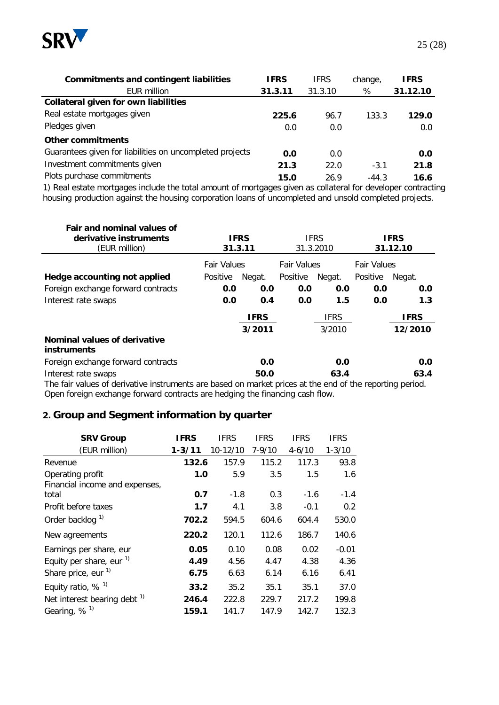

| <b>Commitments and contingent liabilities</b>            | <b>IFRS</b> | <b>IFRS</b> | change, | <b>IFRS</b> |
|----------------------------------------------------------|-------------|-------------|---------|-------------|
| EUR million                                              | 31.3.11     | 31.3.10     | %       | 31.12.10    |
| <b>Collateral given for own liabilities</b>              |             |             |         |             |
| Real estate mortgages given                              | 225.6       | 96.7        | 133.3   | 129.0       |
| Pledges given                                            | 0.0         | 0.0         |         | 0.0         |
| Other commitments                                        |             |             |         |             |
| Guarantees given for liabilities on uncompleted projects | 0.0         | 0.0         |         | 0.0         |
| Investment commitments given                             | 21.3        | 22.0        | $-3.1$  | 21.8        |
| Plots purchase commitments                               | 15.0        | 26.9        | $-44.3$ | 16.6        |

1) Real estate mortgages include the total amount of mortgages given as collateral for developer contracting housing production against the housing corporation loans of uncompleted and unsold completed projects.

| Fair and nominal values of<br>derivative instruments<br>(EUR million)                                                                                                                                                                                  | <b>IFRS</b><br>31.3.11 |             | <b>IFRS</b><br>31.3.2010 |             | <b>IFRS</b><br>31.12.10 |             |
|--------------------------------------------------------------------------------------------------------------------------------------------------------------------------------------------------------------------------------------------------------|------------------------|-------------|--------------------------|-------------|-------------------------|-------------|
|                                                                                                                                                                                                                                                        | <b>Fair Values</b>     |             | <b>Fair Values</b>       |             | <b>Fair Values</b>      |             |
| Hedge accounting not applied                                                                                                                                                                                                                           | Positive               | Negat.      | Positive                 | Negat.      | Positive                | Negat.      |
| Foreign exchange forward contracts                                                                                                                                                                                                                     | 0.0                    | 0.0         | 0.0                      | 0.0         | 0.0                     | 0.0         |
| Interest rate swaps                                                                                                                                                                                                                                    | 0.0                    | 0.4         | 0.0                      | 1.5         | 0.0                     | 1.3         |
|                                                                                                                                                                                                                                                        |                        | <b>IFRS</b> |                          | <b>IFRS</b> |                         | <b>IFRS</b> |
|                                                                                                                                                                                                                                                        |                        | 3/2011      |                          | 3/2010      |                         | 12/2010     |
| Nominal values of derivative<br><b>instruments</b>                                                                                                                                                                                                     |                        |             |                          |             |                         |             |
| Foreign exchange forward contracts                                                                                                                                                                                                                     |                        | 0.0         |                          | 0.0         |                         | 0.0         |
| Interest rate swaps<br>$\sim$ . The contract of the contract of the contract of the contract of the contract of the contract of the contract of the contract of the contract of the contract of the contract of the contract of the contract of the co |                        | 50.0        |                          | 63.4        |                         | 63.4        |

The fair values of derivative instruments are based on market prices at the end of the reporting period. Open foreign exchange forward contracts are hedging the financing cash flow.

### **2. Group and Segment information by quarter**

| <b>SRV Group</b>                                   | <b>IFRS</b> | <b>IFRS</b> | <b>IFRS</b> | <b>IFRS</b> | <b>IFRS</b> |
|----------------------------------------------------|-------------|-------------|-------------|-------------|-------------|
| (EUR million)                                      | $1 - 3/11$  | 10-12/10    | $7 - 9/10$  | $4 - 6/10$  | $1 - 3/10$  |
| Revenue                                            | 132.6       | 157.9       | 115.2       | 117.3       | 93.8        |
| Operating profit<br>Financial income and expenses, | 1.0         | 5.9         | 3.5         | 1.5         | 1.6         |
| total                                              | 0.7         | $-1.8$      | 0.3         | $-1.6$      | $-1.4$      |
| Profit before taxes                                | 1.7         | 4.1         | 3.8         | $-0.1$      | 0.2         |
| Order backlog <sup>1)</sup>                        | 702.2       | 594.5       | 604.6       | 604.4       | 530.0       |
| New agreements                                     | 220.2       | 120.1       | 112.6       | 186.7       | 140.6       |
| Earnings per share, eur                            | 0.05        | 0.10        | 0.08        | 0.02        | $-0.01$     |
| Equity per share, eur $1$ )                        | 4.49        | 4.56        | 4.47        | 4.38        | 4.36        |
| Share price, eur $1$                               | 6.75        | 6.63        | 6.14        | 6.16        | 6.41        |
| Equity ratio, $%$ <sup>1)</sup>                    | 33.2        | 35.2        | 35.1        | 35.1        | 37.0        |
| Net interest bearing debt <sup>1)</sup>            | 246.4       | 222.8       | 229.7       | 217.2       | 199.8       |
| Gearing, $%$ <sup>1)</sup>                         | 159.1       | 141.7       | 147.9       | 142.7       | 132.3       |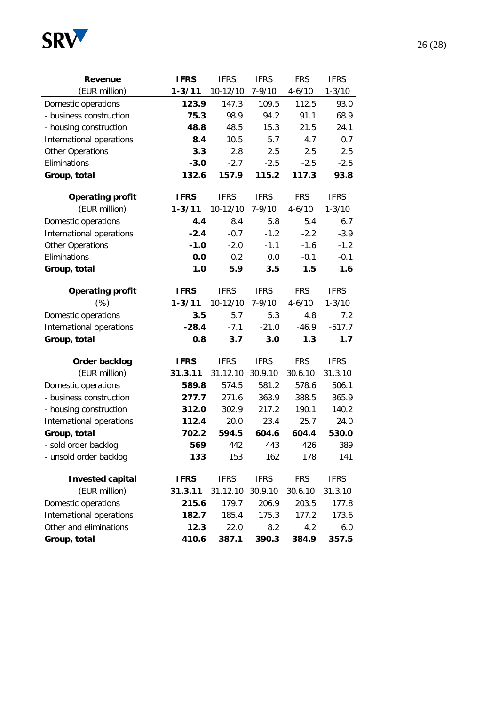

| Revenue                  | <b>IFRS</b> | <b>IFRS</b> | <b>IFRS</b> | <b>IFRS</b> | <b>IFRS</b> |
|--------------------------|-------------|-------------|-------------|-------------|-------------|
| (EUR million)            | $1 - 3/11$  | 10-12/10    | $7 - 9/10$  | $4 - 6/10$  | $1 - 3/10$  |
| Domestic operations      | 123.9       | 147.3       | 109.5       | 112.5       | 93.0        |
| - business construction  | 75.3        | 98.9        | 94.2        | 91.1        | 68.9        |
| - housing construction   | 48.8        | 48.5        | 15.3        | 21.5        | 24.1        |
| International operations | 8.4         | 10.5        | 5.7         | 4.7         | 0.7         |
| <b>Other Operations</b>  | 3.3         | 2.8         | 2.5         | 2.5         | 2.5         |
| Eliminations             | $-3.0$      | $-2.7$      | $-2.5$      | $-2.5$      | $-2.5$      |
| Group, total             | 132.6       | 157.9       | 115.2       | 117.3       | 93.8        |
| <b>Operating profit</b>  | <b>IFRS</b> | <b>IFRS</b> | <b>IFRS</b> | <b>IFRS</b> | <b>IFRS</b> |
| (EUR million)            | $1 - 3/11$  | 10-12/10    | $7 - 9/10$  | $4 - 6/10$  | $1 - 3/10$  |
| Domestic operations      | 4.4         | 8.4         | 5.8         | 5.4         | 6.7         |
| International operations | $-2.4$      | $-0.7$      | $-1.2$      | $-2.2$      | $-3.9$      |
| <b>Other Operations</b>  | $-1.0$      | $-2.0$      | $-1.1$      | $-1.6$      | $-1.2$      |
| Eliminations             | 0.0         | 0.2         | 0.0         | $-0.1$      | $-0.1$      |
| Group, total             | 1.0         | 5.9         | 3.5         | 1.5         | 1.6         |
| <b>Operating profit</b>  | <b>IFRS</b> | <b>IFRS</b> | <b>IFRS</b> | <b>IFRS</b> | <b>IFRS</b> |
| (%)                      | $1 - 3/11$  | 10-12/10    | $7 - 9/10$  | $4 - 6/10$  | $1 - 3/10$  |
| Domestic operations      | 3.5         | 5.7         | 5.3         | 4.8         | 7.2         |
| International operations | $-28.4$     | $-7.1$      | $-21.0$     | $-46.9$     | $-517.7$    |
| Group, total             | 0.8         | 3.7         | 3.0         | 1.3         | 1.7         |
| Order backlog            | <b>IFRS</b> | <b>IFRS</b> | <b>IFRS</b> | <b>IFRS</b> | <b>IFRS</b> |
| (EUR million)            | 31.3.11     | 31.12.10    | 30.9.10     | 30.6.10     | 31.3.10     |
| Domestic operations      | 589.8       | 574.5       | 581.2       | 578.6       | 506.1       |
| - business construction  | 277.7       | 271.6       | 363.9       | 388.5       | 365.9       |
| - housing construction   | 312.0       | 302.9       | 217.2       | 190.1       | 140.2       |
| International operations | 112.4       | 20.0        | 23.4        | 25.7        | 24.0        |
| Group, total             | 702.2       | 594.5       | 604.6       | 604.4       | 530.0       |
| - sold order backlog     | 569         | 442         | 443         | 426         | 389         |
| - unsold order backlog   | 133         | 153         | 162         | 178         | 141         |
| <b>Invested capital</b>  | <b>IFRS</b> | <b>IFRS</b> | <b>IFRS</b> | <b>IFRS</b> | <b>IFRS</b> |
| (EUR million)            | 31.3.11     | 31.12.10    | 30.9.10     | 30.6.10     | 31.3.10     |
| Domestic operations      | 215.6       | 179.7       | 206.9       | 203.5       | 177.8       |
| International operations | 182.7       | 185.4       | 175.3       | 177.2       | 173.6       |
| Other and eliminations   | 12.3        | 22.0        | 8.2         | 4.2         | 6.0         |
| Group, total             | 410.6       | 387.1       | 390.3       | 384.9       | 357.5       |

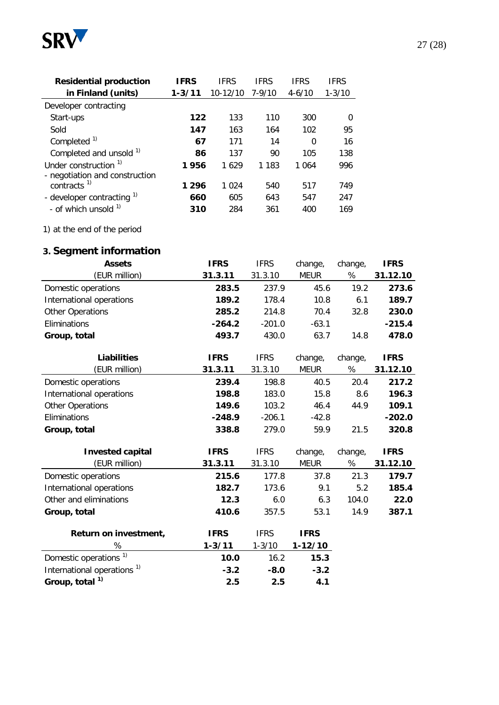

| <b>Residential production</b>    | <b>IFRS</b> | IFRS         | <b>IFRS</b> | IFRS       | <b>IFRS</b> |
|----------------------------------|-------------|--------------|-------------|------------|-------------|
| in Finland (units)               | $1 - 3/11$  | $10 - 12/10$ | 7-9/10      | $4 - 6/10$ | $1 - 3/10$  |
| Developer contracting            |             |              |             |            |             |
| Start-ups                        | 122         | 133          | 110         | 300        | ∩           |
| Sold                             | 147         | 163          | 164         | 102        | 95          |
| Completed <sup>1)</sup>          | 67          | 171          | 14          | 0          | 16          |
| Completed and unsold 1)          | 86          | 137          | 90          | 105        | 138         |
| Under construction <sup>1)</sup> | 1956        | 1629         | 1 183       | 1 0 6 4    | 996         |
| - negotiation and construction   |             |              |             |            |             |
| contracts $1$                    | 1 2 9 6     | 1 0 2 4      | 540         | 517        | 749         |
| - developer contracting $1$      | 660         | 605          | 643         | 547        | 247         |
| - of which unsold <sup>1)</sup>  | 310         | 284          | 361         | 400        | 169         |

1) at the end of the period

## **3. Segment information**

| <b>Assets</b>                          | <b>IFRS</b> | <b>IFRS</b> | change,     | change, | <b>IFRS</b> |
|----------------------------------------|-------------|-------------|-------------|---------|-------------|
| (EUR million)                          | 31.3.11     | 31.3.10     | <b>MEUR</b> | %       | 31.12.10    |
| Domestic operations                    | 283.5       | 237.9       | 45.6        | 19.2    | 273.6       |
| International operations               | 189.2       | 178.4       | 10.8        | 6.1     | 189.7       |
| <b>Other Operations</b>                | 285.2       | 214.8       | 70.4        | 32.8    | 230.0       |
| Eliminations                           | $-264.2$    | $-201.0$    | $-63.1$     |         | $-215.4$    |
| Group, total                           | 493.7       | 430.0       | 63.7        | 14.8    | 478.0       |
| <b>Liabilities</b>                     | <b>IFRS</b> | <b>IFRS</b> | change,     | change, | <b>IFRS</b> |
| (EUR million)                          | 31.3.11     | 31.3.10     | <b>MEUR</b> | %       | 31.12.10    |
| Domestic operations                    | 239.4       | 198.8       | 40.5        | 20.4    | 217.2       |
| International operations               | 198.8       | 183.0       | 15.8        | 8.6     | 196.3       |
| Other Operations                       | 149.6       | 103.2       | 46.4        | 44.9    | 109.1       |
| Eliminations                           | $-248.9$    | $-206.1$    | $-42.8$     |         | $-202.0$    |
| Group, total                           | 338.8       | 279.0       | 59.9        | 21.5    | 320.8       |
| <b>Invested capital</b>                | <b>IFRS</b> | <b>IFRS</b> | change,     | change, | <b>IFRS</b> |
| (EUR million)                          | 31.3.11     | 31.3.10     | <b>MEUR</b> | %       | 31.12.10    |
| Domestic operations                    | 215.6       | 177.8       | 37.8        | 21.3    | 179.7       |
| International operations               | 182.7       | 173.6       | 9.1         | 5.2     | 185.4       |
| Other and eliminations                 | 12.3        | 6.0         | 6.3         | 104.0   | 22.0        |
| Group, total                           | 410.6       | 357.5       | 53.1        | 14.9    | 387.1       |
| Return on investment,                  | <b>IFRS</b> | <b>IFRS</b> | <b>IFRS</b> |         |             |
| %                                      | $1 - 3/11$  | $1 - 3/10$  | $1 - 12/10$ |         |             |
| Domestic operations <sup>1)</sup>      | 10.0        | 16.2        | 15.3        |         |             |
| International operations <sup>1)</sup> | $-3.2$      | $-8.0$      | $-3.2$      |         |             |
| Group, total <sup>1)</sup>             | 2.5         | 2.5         | 4.1         |         |             |